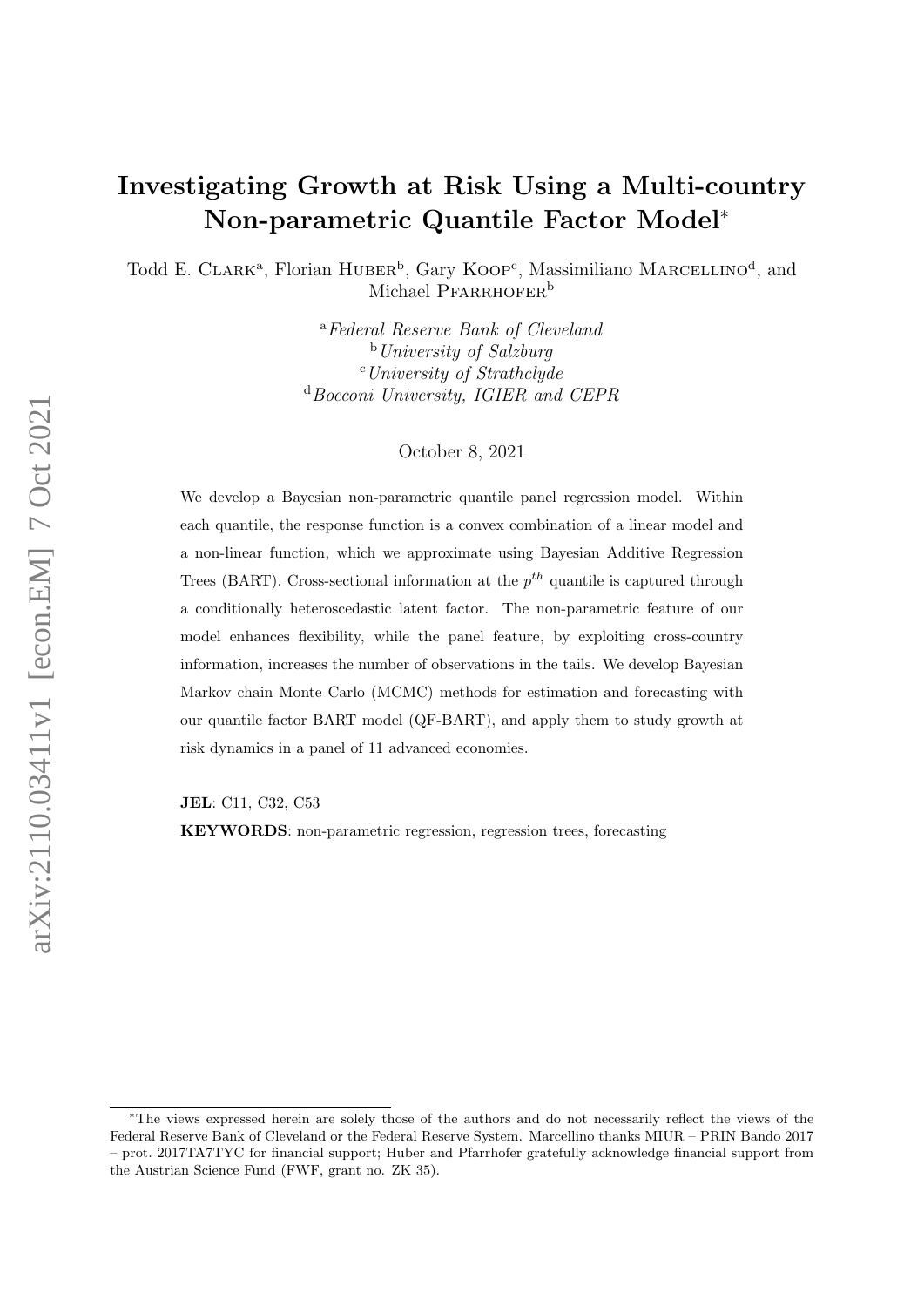# Investigating Growth at Risk Using a Multi-country Non-parametric Quantile Factor Model<sup>∗</sup>

Todd E. CLARK<sup>a</sup>, Florian HUBER<sup>b</sup>, Gary KOOP<sup>c</sup>, Massimiliano MARCELLINO<sup>d</sup>, and Michael PFARRHOFER<sup>b</sup>

> <sup>a</sup>Federal Reserve Bank of Cleveland  $b$ University of Salzburg  $c$ University of Strathclyde <sup>d</sup>Bocconi University, IGIER and CEPR

> > October 8, 2021

We develop a Bayesian non-parametric quantile panel regression model. Within each quantile, the response function is a convex combination of a linear model and a non-linear function, which we approximate using Bayesian Additive Regression Trees (BART). Cross-sectional information at the  $p^{th}$  quantile is captured through a conditionally heteroscedastic latent factor. The non-parametric feature of our model enhances flexibility, while the panel feature, by exploiting cross-country information, increases the number of observations in the tails. We develop Bayesian Markov chain Monte Carlo (MCMC) methods for estimation and forecasting with our quantile factor BART model (QF-BART), and apply them to study growth at risk dynamics in a panel of 11 advanced economies.

JEL: C11, C32, C53

KEYWORDS: non-parametric regression, regression trees, forecasting

<sup>∗</sup>The views expressed herein are solely those of the authors and do not necessarily reflect the views of the Federal Reserve Bank of Cleveland or the Federal Reserve System. Marcellino thanks MIUR – PRIN Bando 2017 – prot. 2017TA7TYC for financial support; Huber and Pfarrhofer gratefully acknowledge financial support from the Austrian Science Fund (FWF, grant no. ZK 35).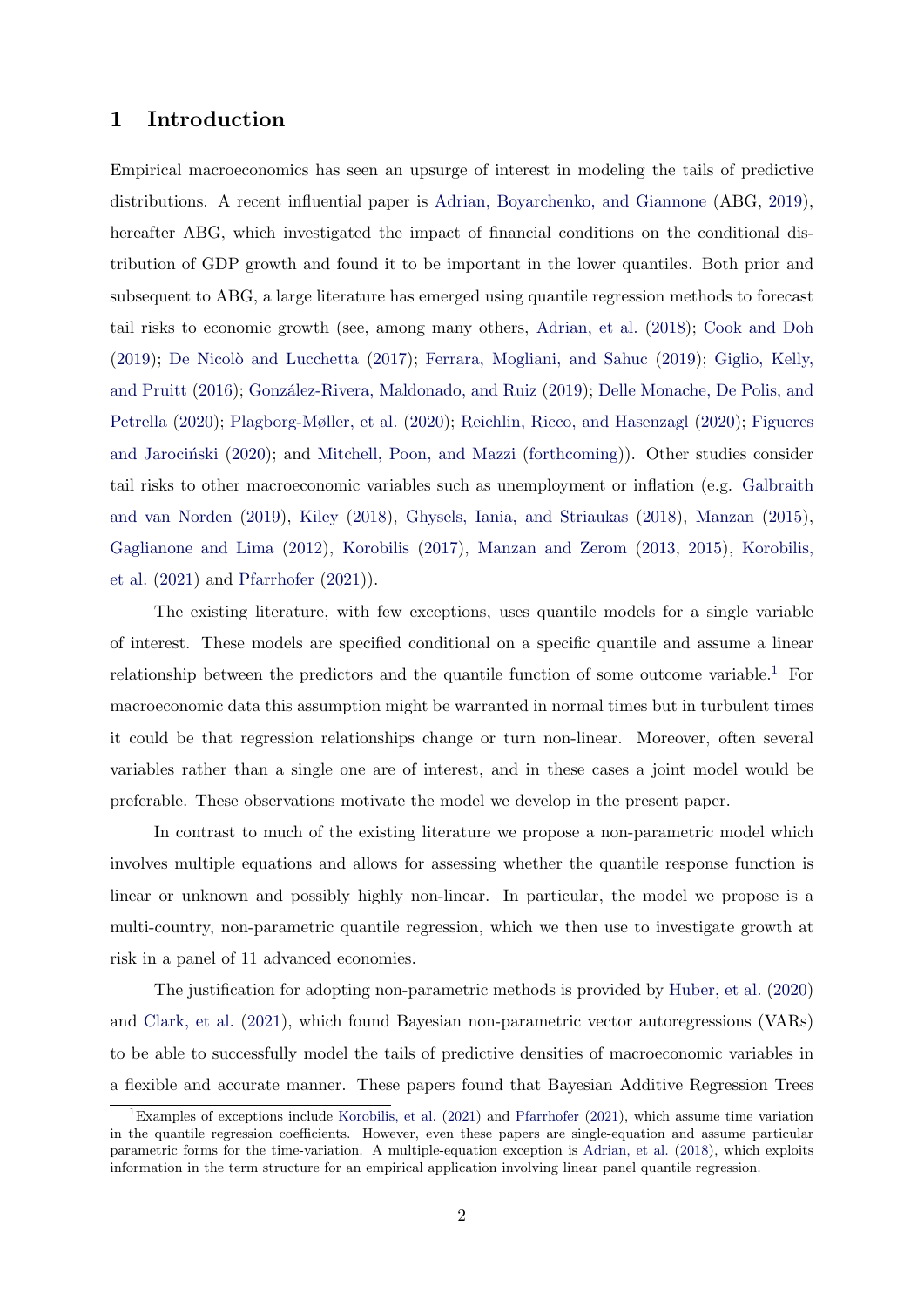## 1 Introduction

Empirical macroeconomics has seen an upsurge of interest in modeling the tails of predictive distributions. A recent influential paper is [Adrian, Boyarchenko, and Giannone](#page-23-0) (ABG, [2019\)](#page-23-0), hereafter ABG, which investigated the impact of financial conditions on the conditional distribution of GDP growth and found it to be important in the lower quantiles. Both prior and subsequent to ABG, a large literature has emerged using quantile regression methods to forecast tail risks to economic growth (see, among many others, [Adrian, et al.](#page-23-1) [\(2018\)](#page-23-1); [Cook and Doh](#page-23-2) [\(2019\)](#page-23-4); De Nicolò and Lucchetta [\(2017\)](#page-23-3); [Ferrara, Mogliani, and Sahuc](#page-23-4) (2019); [Giglio, Kelly,](#page-23-5) [and Pruitt](#page-23-5) [\(2016\)](#page-23-5); González-Rivera, Maldonado, and Ruiz [\(2019\)](#page-23-6); [Delle Monache, De Polis, and](#page-23-7) [Petrella](#page-23-7) [\(2020\)](#page-23-7); [Plagborg-Møller, et al.](#page-24-0) [\(2020\)](#page-24-0); [Reichlin, Ricco, and Hasenzagl](#page-24-1) [\(2020\)](#page-24-1); [Figueres](#page-23-8) and Jarocinski [\(2020\)](#page-23-8); and [Mitchell, Poon, and Mazzi](#page-24-2) [\(forthcoming\)](#page-24-2)). Other studies consider tail risks to other macroeconomic variables such as unemployment or inflation (e.g. [Galbraith](#page-23-9) [and van Norden](#page-23-9) [\(2019\)](#page-23-9), [Kiley](#page-23-10) [\(2018\)](#page-23-10), [Ghysels, Iania, and Striaukas](#page-23-11) [\(2018\)](#page-23-11), [Manzan](#page-24-3) [\(2015\)](#page-24-3), [Gaglianone and Lima](#page-23-12) [\(2012\)](#page-23-12), [Korobilis](#page-24-4) [\(2017\)](#page-24-4), [Manzan and Zerom](#page-24-5) [\(2013,](#page-24-5) [2015\)](#page-24-6), [Korobilis,](#page-24-7) [et al.](#page-24-7) [\(2021\)](#page-24-7) and [Pfarrhofer](#page-24-8) [\(2021\)](#page-24-8)).

The existing literature, with few exceptions, uses quantile models for a single variable of interest. These models are specified conditional on a specific quantile and assume a linear relationship between the predictors and the quantile function of some outcome variable.<sup>[1](#page-1-0)</sup> For macroeconomic data this assumption might be warranted in normal times but in turbulent times it could be that regression relationships change or turn non-linear. Moreover, often several variables rather than a single one are of interest, and in these cases a joint model would be preferable. These observations motivate the model we develop in the present paper.

In contrast to much of the existing literature we propose a non-parametric model which involves multiple equations and allows for assessing whether the quantile response function is linear or unknown and possibly highly non-linear. In particular, the model we propose is a multi-country, non-parametric quantile regression, which we then use to investigate growth at risk in a panel of 11 advanced economies.

The justification for adopting non-parametric methods is provided by [Huber, et al.](#page-23-13) [\(2020\)](#page-23-13) and [Clark, et al.](#page-23-14) [\(2021\)](#page-23-14), which found Bayesian non-parametric vector autoregressions (VARs) to be able to successfully model the tails of predictive densities of macroeconomic variables in a flexible and accurate manner. These papers found that Bayesian Additive Regression Trees

<span id="page-1-0"></span><sup>&</sup>lt;sup>1</sup>Examples of exceptions include [Korobilis, et al.](#page-24-7) [\(2021\)](#page-24-8) and [Pfarrhofer](#page-24-8) (2021), which assume time variation in the quantile regression coefficients. However, even these papers are single-equation and assume particular parametric forms for the time-variation. A multiple-equation exception is [Adrian, et al.](#page-23-1) [\(2018\)](#page-23-1), which exploits information in the term structure for an empirical application involving linear panel quantile regression.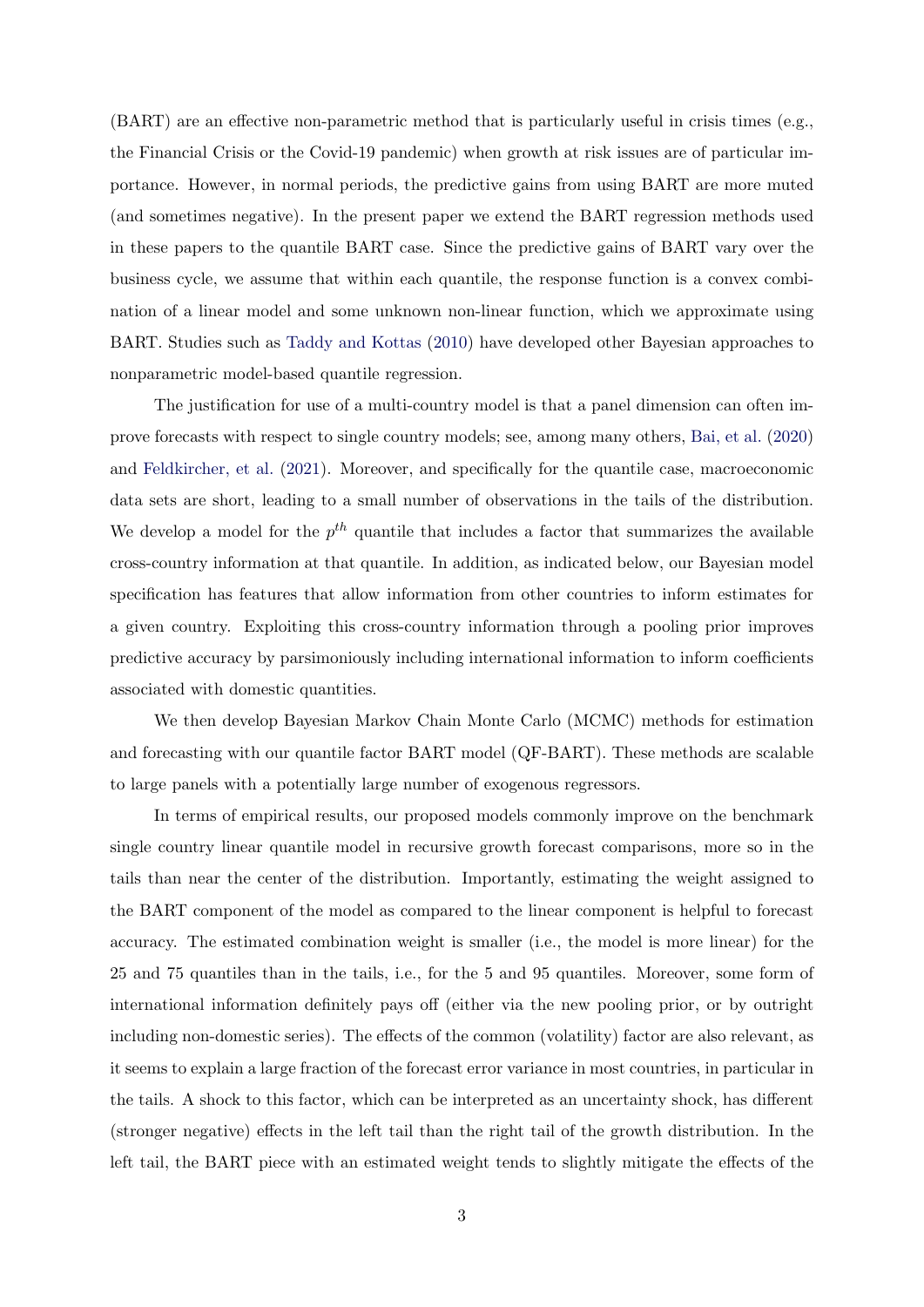(BART) are an effective non-parametric method that is particularly useful in crisis times (e.g., the Financial Crisis or the Covid-19 pandemic) when growth at risk issues are of particular importance. However, in normal periods, the predictive gains from using BART are more muted (and sometimes negative). In the present paper we extend the BART regression methods used in these papers to the quantile BART case. Since the predictive gains of BART vary over the business cycle, we assume that within each quantile, the response function is a convex combination of a linear model and some unknown non-linear function, which we approximate using BART. Studies such as [Taddy and Kottas](#page-24-9) [\(2010\)](#page-24-9) have developed other Bayesian approaches to nonparametric model-based quantile regression.

The justification for use of a multi-country model is that a panel dimension can often improve forecasts with respect to single country models; see, among many others, [Bai, et al.](#page-23-15) [\(2020\)](#page-23-15) and [Feldkircher, et al.](#page-23-16) [\(2021\)](#page-23-16). Moreover, and specifically for the quantile case, macroeconomic data sets are short, leading to a small number of observations in the tails of the distribution. We develop a model for the  $p^{th}$  quantile that includes a factor that summarizes the available cross-country information at that quantile. In addition, as indicated below, our Bayesian model specification has features that allow information from other countries to inform estimates for a given country. Exploiting this cross-country information through a pooling prior improves predictive accuracy by parsimoniously including international information to inform coefficients associated with domestic quantities.

We then develop Bayesian Markov Chain Monte Carlo (MCMC) methods for estimation and forecasting with our quantile factor BART model (QF-BART). These methods are scalable to large panels with a potentially large number of exogenous regressors.

In terms of empirical results, our proposed models commonly improve on the benchmark single country linear quantile model in recursive growth forecast comparisons, more so in the tails than near the center of the distribution. Importantly, estimating the weight assigned to the BART component of the model as compared to the linear component is helpful to forecast accuracy. The estimated combination weight is smaller (i.e., the model is more linear) for the 25 and 75 quantiles than in the tails, i.e., for the 5 and 95 quantiles. Moreover, some form of international information definitely pays off (either via the new pooling prior, or by outright including non-domestic series). The effects of the common (volatility) factor are also relevant, as it seems to explain a large fraction of the forecast error variance in most countries, in particular in the tails. A shock to this factor, which can be interpreted as an uncertainty shock, has different (stronger negative) effects in the left tail than the right tail of the growth distribution. In the left tail, the BART piece with an estimated weight tends to slightly mitigate the effects of the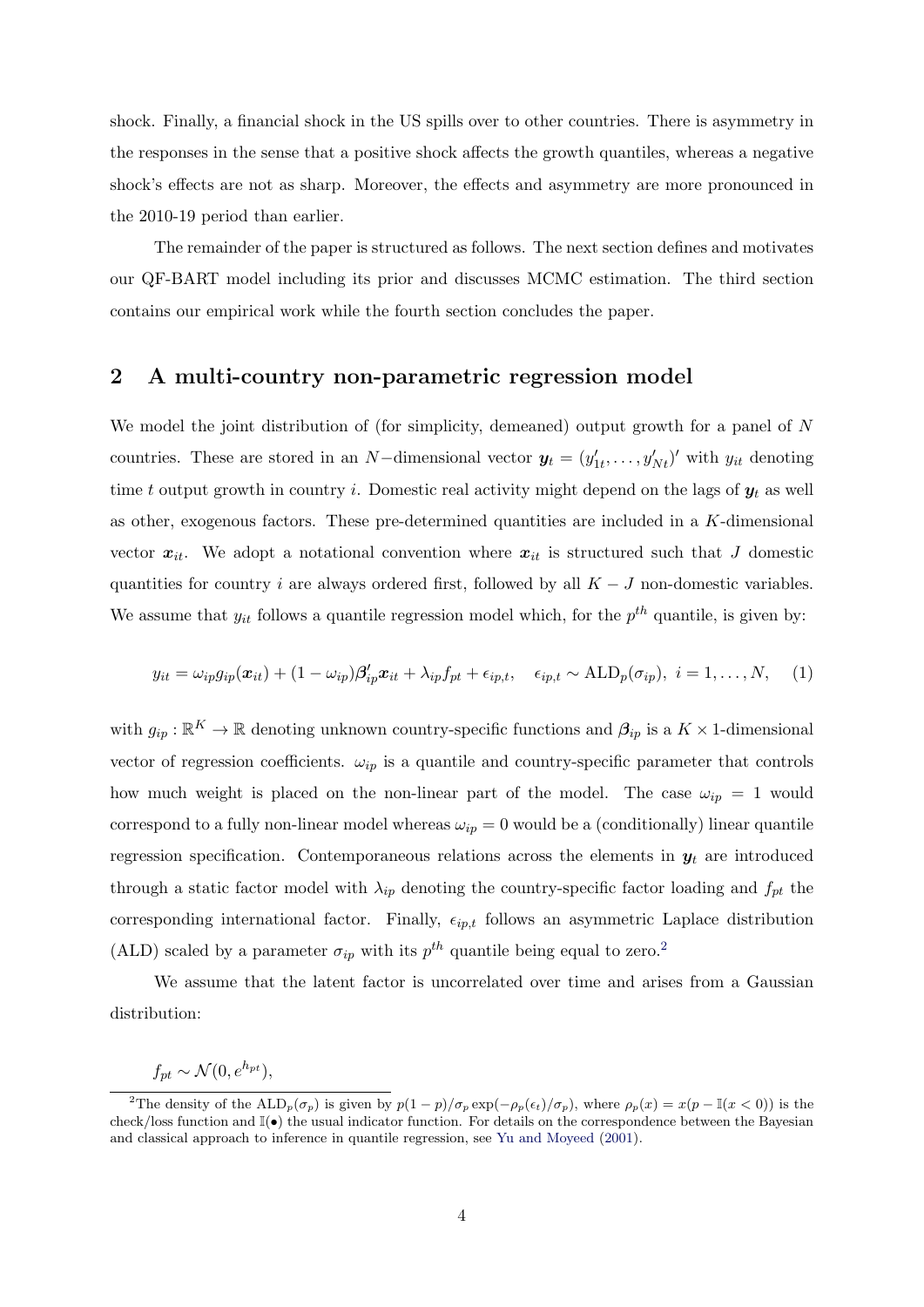shock. Finally, a financial shock in the US spills over to other countries. There is asymmetry in the responses in the sense that a positive shock affects the growth quantiles, whereas a negative shock's effects are not as sharp. Moreover, the effects and asymmetry are more pronounced in the 2010-19 period than earlier.

The remainder of the paper is structured as follows. The next section defines and motivates our QF-BART model including its prior and discusses MCMC estimation. The third section contains our empirical work while the fourth section concludes the paper.

## <span id="page-3-2"></span>2 A multi-country non-parametric regression model

We model the joint distribution of (for simplicity, demeaned) output growth for a panel of N countries. These are stored in an N–dimensional vector  $y_t = (y'_{1t}, \ldots, y'_{Nt})'$  with  $y_{it}$  denoting time t output growth in country i. Domestic real activity might depend on the lags of  $y_t$  as well as other, exogenous factors. These pre-determined quantities are included in a  $K$ -dimensional vector  $x_{it}$ . We adopt a notational convention where  $x_{it}$  is structured such that J domestic quantities for country i are always ordered first, followed by all  $K - J$  non-domestic variables. We assume that  $y_{it}$  follows a quantile regression model which, for the  $p^{th}$  quantile, is given by:

<span id="page-3-1"></span>
$$
y_{it} = \omega_{ip} g_{ip}(\boldsymbol{x}_{it}) + (1 - \omega_{ip}) \boldsymbol{\beta}_{ip}' \boldsymbol{x}_{it} + \lambda_{ip} f_{pt} + \epsilon_{ip,t}, \quad \epsilon_{ip,t} \sim \text{ALD}_p(\sigma_{ip}), \quad i = 1, \ldots, N, \quad (1)
$$

with  $g_{ip} : \mathbb{R}^K \to \mathbb{R}$  denoting unknown country-specific functions and  $\beta_{ip}$  is a  $K \times 1$ -dimensional vector of regression coefficients.  $\omega_{ip}$  is a quantile and country-specific parameter that controls how much weight is placed on the non-linear part of the model. The case  $\omega_{ip} = 1$  would correspond to a fully non-linear model whereas  $\omega_{ip} = 0$  would be a (conditionally) linear quantile regression specification. Contemporaneous relations across the elements in  $y_t$  are introduced through a static factor model with  $\lambda_{ip}$  denoting the country-specific factor loading and  $f_{pt}$  the corresponding international factor. Finally,  $\epsilon_{ip,t}$  follows an asymmetric Laplace distribution (ALD) scaled by a parameter  $\sigma_{ip}$  with its  $p^{th}$  quantile being equal to zero.<sup>[2](#page-3-0)</sup>

We assume that the latent factor is uncorrelated over time and arises from a Gaussian distribution:

 $f_{pt} \sim \mathcal{N}(0, e^{h_{pt}}),$ 

<span id="page-3-0"></span><sup>&</sup>lt;sup>2</sup>The density of the  $\text{ALD}_p(\sigma_p)$  is given by  $p(1-p)/\sigma_p \exp(-\rho_p(\epsilon_t)/\sigma_p)$ , where  $\rho_p(x) = x(p - \mathbb{I}(x < 0))$  is the check/loss function and  $\mathbb{I}(\bullet)$  the usual indicator function. For details on the correspondence between the Bayesian and classical approach to inference in quantile regression, see [Yu and Moyeed](#page-24-10) [\(2001\)](#page-24-10).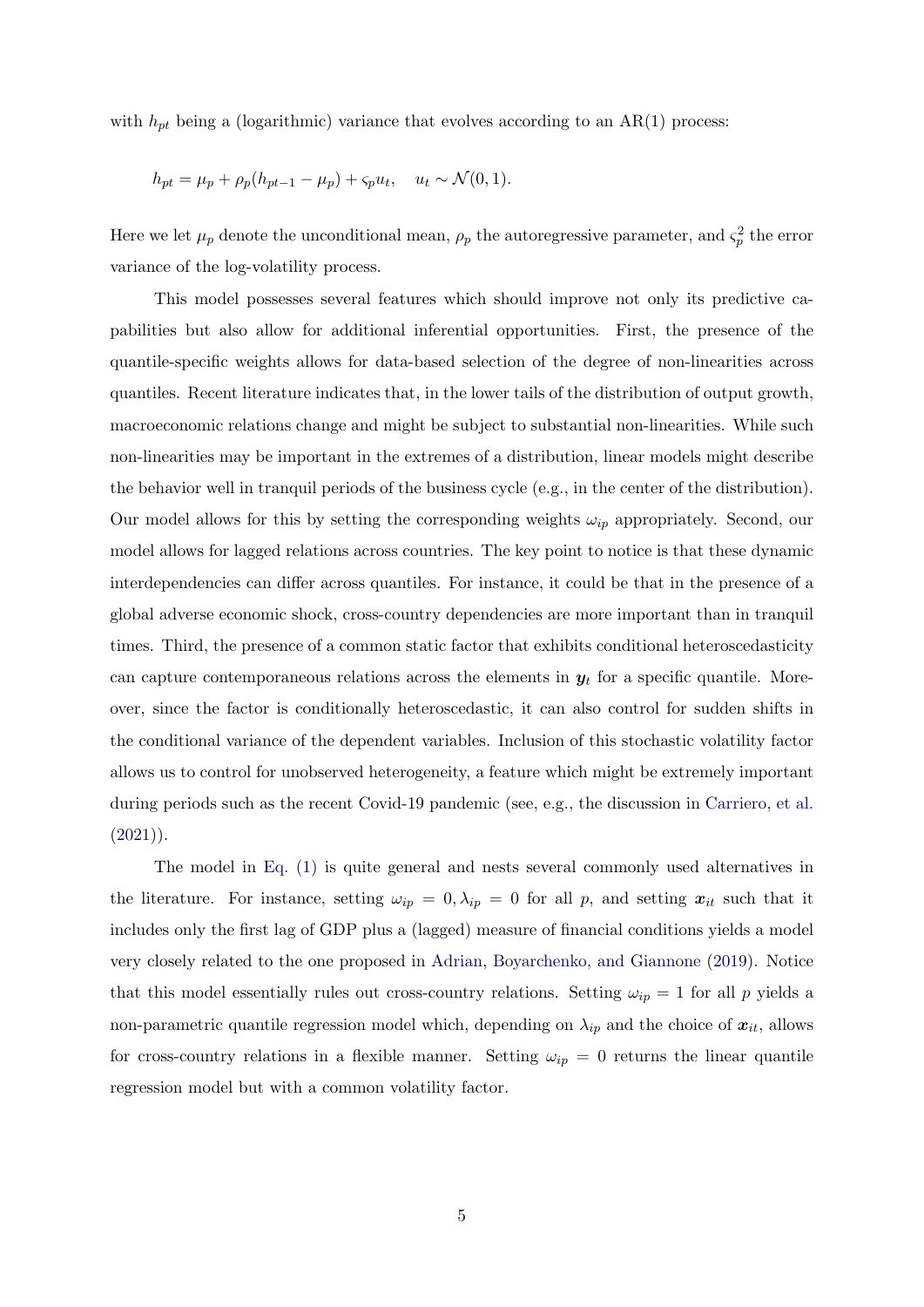with  $h_{pt}$  being a (logarithmic) variance that evolves according to an AR(1) process:

$$
h_{pt} = \mu_p + \rho_p (h_{pt-1} - \mu_p) + \varsigma_p u_t, \quad u_t \sim \mathcal{N}(0, 1).
$$

Here we let  $\mu_p$  denote the unconditional mean,  $\rho_p$  the autoregressive parameter, and  $\varsigma_p^2$  the error variance of the log-volatility process.

This model possesses several features which should improve not only its predictive capabilities but also allow for additional inferential opportunities. First, the presence of the quantile-specific weights allows for data-based selection of the degree of non-linearities across quantiles. Recent literature indicates that, in the lower tails of the distribution of output growth, macroeconomic relations change and might be subject to substantial non-linearities. While such non-linearities may be important in the extremes of a distribution, linear models might describe the behavior well in tranquil periods of the business cycle (e.g., in the center of the distribution). Our model allows for this by setting the corresponding weights  $\omega_{ip}$  appropriately. Second, our model allows for lagged relations across countries. The key point to notice is that these dynamic interdependencies can differ across quantiles. For instance, it could be that in the presence of a global adverse economic shock, cross-country dependencies are more important than in tranquil times. Third, the presence of a common static factor that exhibits conditional heteroscedasticity can capture contemporaneous relations across the elements in  $y_t$  for a specific quantile. Moreover, since the factor is conditionally heteroscedastic, it can also control for sudden shifts in the conditional variance of the dependent variables. Inclusion of this stochastic volatility factor allows us to control for unobserved heterogeneity, a feature which might be extremely important during periods such as the recent Covid-19 pandemic (see, e.g., the discussion in [Carriero, et al.](#page-23-17)  $(2021)$ .

The model in [Eq. \(1\)](#page-3-1) is quite general and nests several commonly used alternatives in the literature. For instance, setting  $\omega_{ip} = 0, \lambda_{ip} = 0$  for all p, and setting  $x_{it}$  such that it includes only the first lag of GDP plus a (lagged) measure of financial conditions yields a model very closely related to the one proposed in [Adrian, Boyarchenko, and Giannone](#page-23-0) [\(2019\)](#page-23-0). Notice that this model essentially rules out cross-country relations. Setting  $\omega_{ip} = 1$  for all p yields a non-parametric quantile regression model which, depending on  $\lambda_{ip}$  and the choice of  $x_{it}$ , allows for cross-country relations in a flexible manner. Setting  $\omega_{ip} = 0$  returns the linear quantile regression model but with a common volatility factor.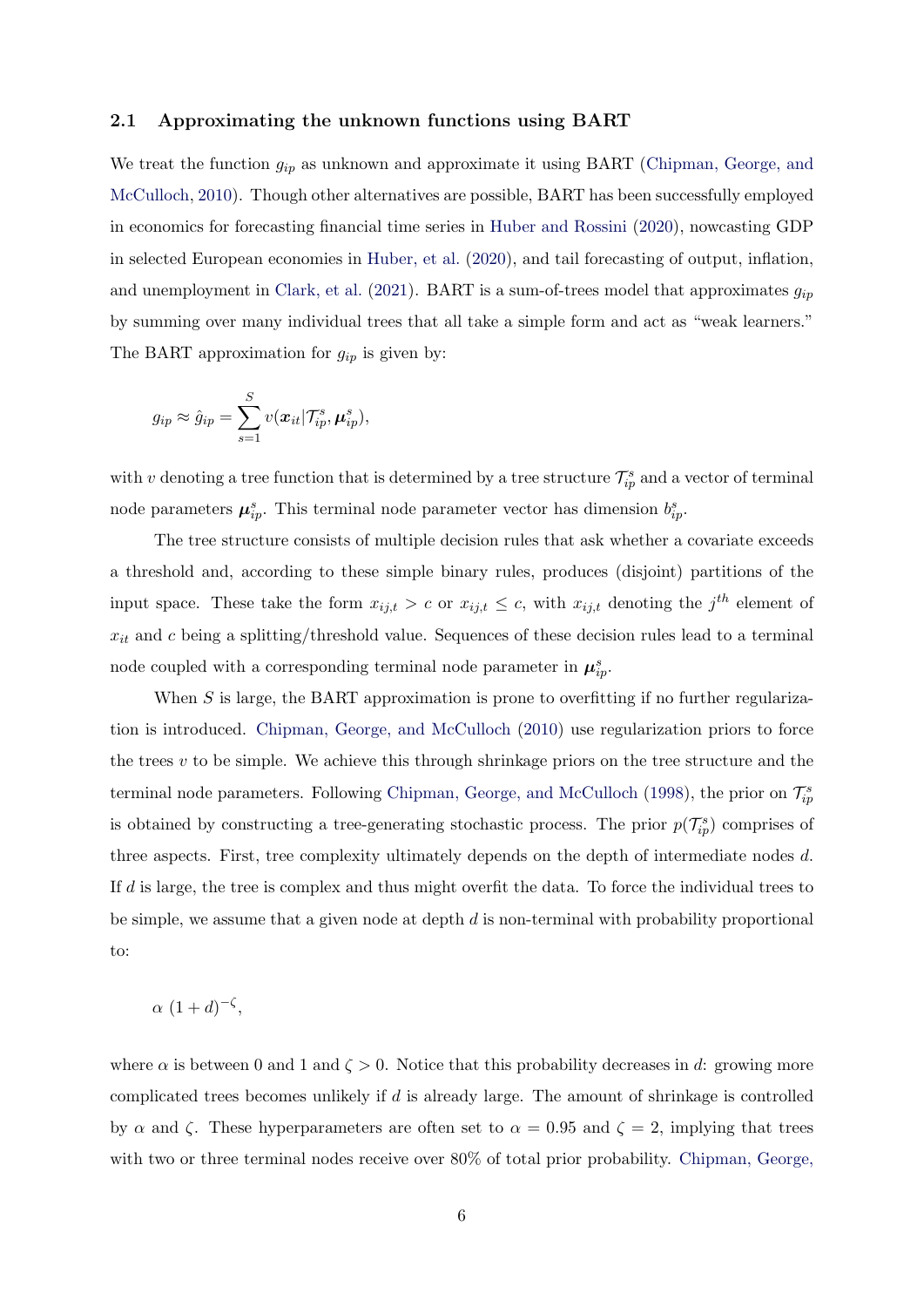#### 2.1 Approximating the unknown functions using BART

We treat the function  $g_{ip}$  as unknown and approximate it using BART [\(Chipman, George, and](#page-23-18) [McCulloch,](#page-23-18) [2010\)](#page-23-18). Though other alternatives are possible, BART has been successfully employed in economics for forecasting financial time series in [Huber and Rossini](#page-23-19) [\(2020\)](#page-23-19), nowcasting GDP in selected European economies in [Huber, et al.](#page-23-13) [\(2020\)](#page-23-13), and tail forecasting of output, inflation, and unemployment in [Clark, et al.](#page-23-20) [\(2021\)](#page-23-20). BART is a sum-of-trees model that approximates  $g_{ip}$ by summing over many individual trees that all take a simple form and act as "weak learners." The BART approximation for  $g_{ip}$  is given by:

$$
g_{ip} \approx \hat{g}_{ip} = \sum_{s=1}^{S} v(\boldsymbol{x}_{it} | \mathcal{T}_{ip}^s, \boldsymbol{\mu}_{ip}^s),
$$

with v denoting a tree function that is determined by a tree structure  $\mathcal{T}_{ip}^s$  and a vector of terminal node parameters  $\mu_{ip}^s$ . This terminal node parameter vector has dimension  $b_{ip}^s$ .

The tree structure consists of multiple decision rules that ask whether a covariate exceeds a threshold and, according to these simple binary rules, produces (disjoint) partitions of the input space. These take the form  $x_{ij,t} > c$  or  $x_{ij,t} \leq c$ , with  $x_{ij,t}$  denoting the j<sup>th</sup> element of  $x_{it}$  and c being a splitting/threshold value. Sequences of these decision rules lead to a terminal node coupled with a corresponding terminal node parameter in  $\mu_{ip}^s$ .

When  $S$  is large, the BART approximation is prone to overfitting if no further regularization is introduced. [Chipman, George, and McCulloch](#page-23-18) [\(2010\)](#page-23-18) use regularization priors to force the trees  $v$  to be simple. We achieve this through shrinkage priors on the tree structure and the terminal node parameters. Following [Chipman, George, and McCulloch](#page-23-21) [\(1998\)](#page-23-21), the prior on  $\mathcal{T}_{ip}^s$ is obtained by constructing a tree-generating stochastic process. The prior  $p(\mathcal{T}_{ip}^s)$  comprises of three aspects. First, tree complexity ultimately depends on the depth of intermediate nodes d. If d is large, the tree is complex and thus might overfit the data. To force the individual trees to be simple, we assume that a given node at depth  $d$  is non-terminal with probability proportional to:

$$
\alpha (1+d)^{-\zeta},
$$

where  $\alpha$  is between 0 and 1 and  $\zeta > 0$ . Notice that this probability decreases in d: growing more complicated trees becomes unlikely if  $d$  is already large. The amount of shrinkage is controlled by  $\alpha$  and  $\zeta$ . These hyperparameters are often set to  $\alpha = 0.95$  and  $\zeta = 2$ , implying that trees with two or three terminal nodes receive over  $80\%$  of total prior probability. [Chipman, George,](#page-23-18)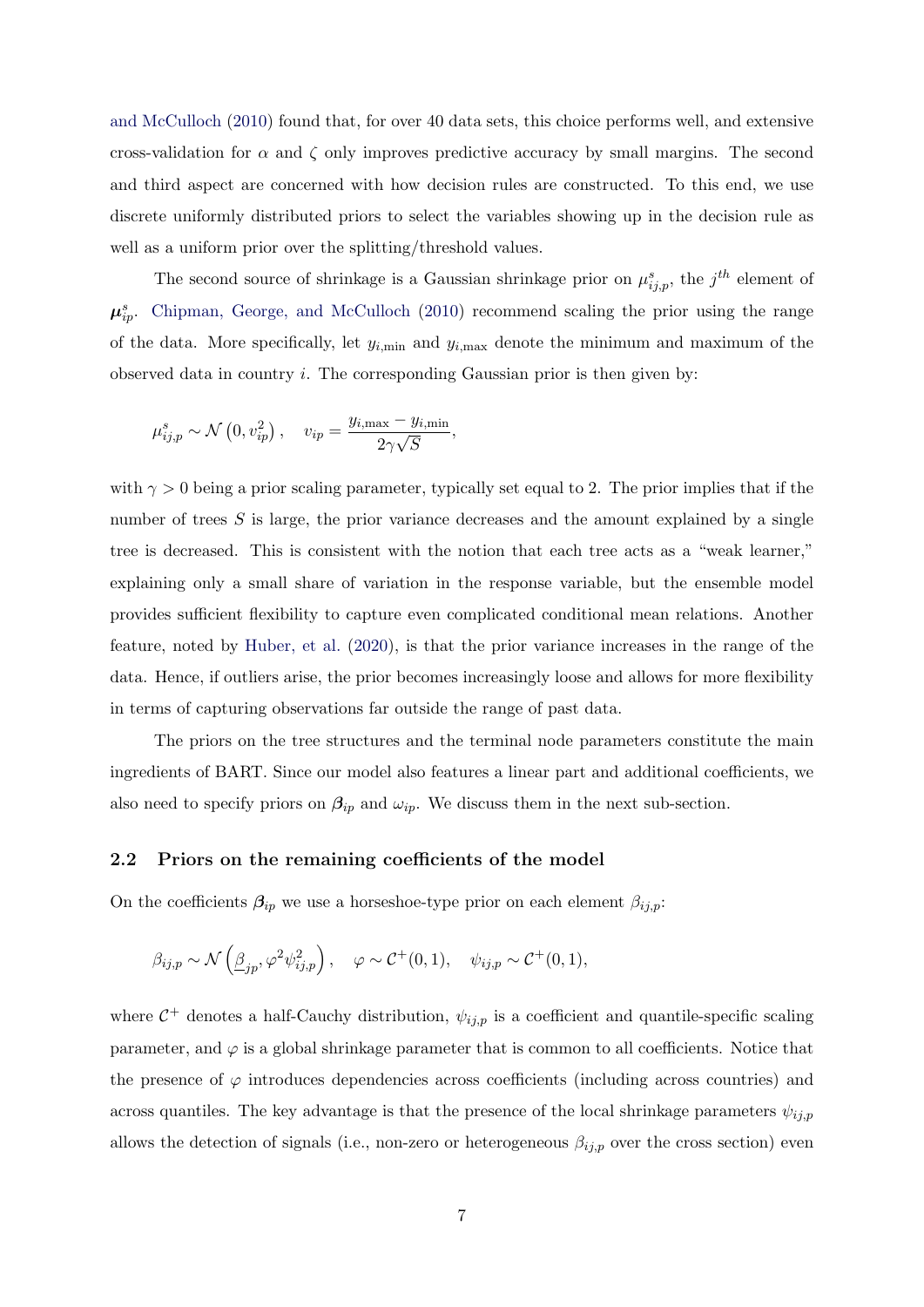[and McCulloch](#page-23-18) [\(2010\)](#page-23-18) found that, for over 40 data sets, this choice performs well, and extensive cross-validation for  $\alpha$  and  $\zeta$  only improves predictive accuracy by small margins. The second and third aspect are concerned with how decision rules are constructed. To this end, we use discrete uniformly distributed priors to select the variables showing up in the decision rule as well as a uniform prior over the splitting/threshold values.

The second source of shrinkage is a Gaussian shrinkage prior on  $\mu_{ij,p}^s$ , the j<sup>th</sup> element of  $\mu_{ip}^s$ . [Chipman, George, and McCulloch](#page-23-18) [\(2010\)](#page-23-18) recommend scaling the prior using the range of the data. More specifically, let  $y_{i,\text{min}}$  and  $y_{i,\text{max}}$  denote the minimum and maximum of the observed data in country  $i$ . The corresponding Gaussian prior is then given by:

$$
\mu_{ij,p}^s \sim \mathcal{N}\left(0, v_{ip}^2\right), \quad v_{ip} = \frac{y_{i,\text{max}} - y_{i,\text{min}}}{2\gamma\sqrt{S}},
$$

with  $\gamma > 0$  being a prior scaling parameter, typically set equal to 2. The prior implies that if the number of trees  $S$  is large, the prior variance decreases and the amount explained by a single tree is decreased. This is consistent with the notion that each tree acts as a "weak learner," explaining only a small share of variation in the response variable, but the ensemble model provides sufficient flexibility to capture even complicated conditional mean relations. Another feature, noted by [Huber, et al.](#page-23-13) [\(2020\)](#page-23-13), is that the prior variance increases in the range of the data. Hence, if outliers arise, the prior becomes increasingly loose and allows for more flexibility in terms of capturing observations far outside the range of past data.

The priors on the tree structures and the terminal node parameters constitute the main ingredients of BART. Since our model also features a linear part and additional coefficients, we also need to specify priors on  $\beta_{ip}$  and  $\omega_{ip}$ . We discuss them in the next sub-section.

#### 2.2 Priors on the remaining coefficients of the model

On the coefficients  $\beta_{ip}$  we use a horseshoe-type prior on each element  $\beta_{ij,p}$ :

$$
\beta_{ij,p} \sim \mathcal{N}\left(\underline{\beta}_{jp}, \varphi^2 \psi_{ij,p}^2\right), \quad \varphi \sim \mathcal{C}^+(0,1), \quad \psi_{ij,p} \sim \mathcal{C}^+(0,1),
$$

where  $C^+$  denotes a half-Cauchy distribution,  $\psi_{ij,p}$  is a coefficient and quantile-specific scaling parameter, and  $\varphi$  is a global shrinkage parameter that is common to all coefficients. Notice that the presence of  $\varphi$  introduces dependencies across coefficients (including across countries) and across quantiles. The key advantage is that the presence of the local shrinkage parameters  $\psi_{ij,p}$ allows the detection of signals (i.e., non-zero or heterogeneous  $\beta_{ij,p}$  over the cross section) even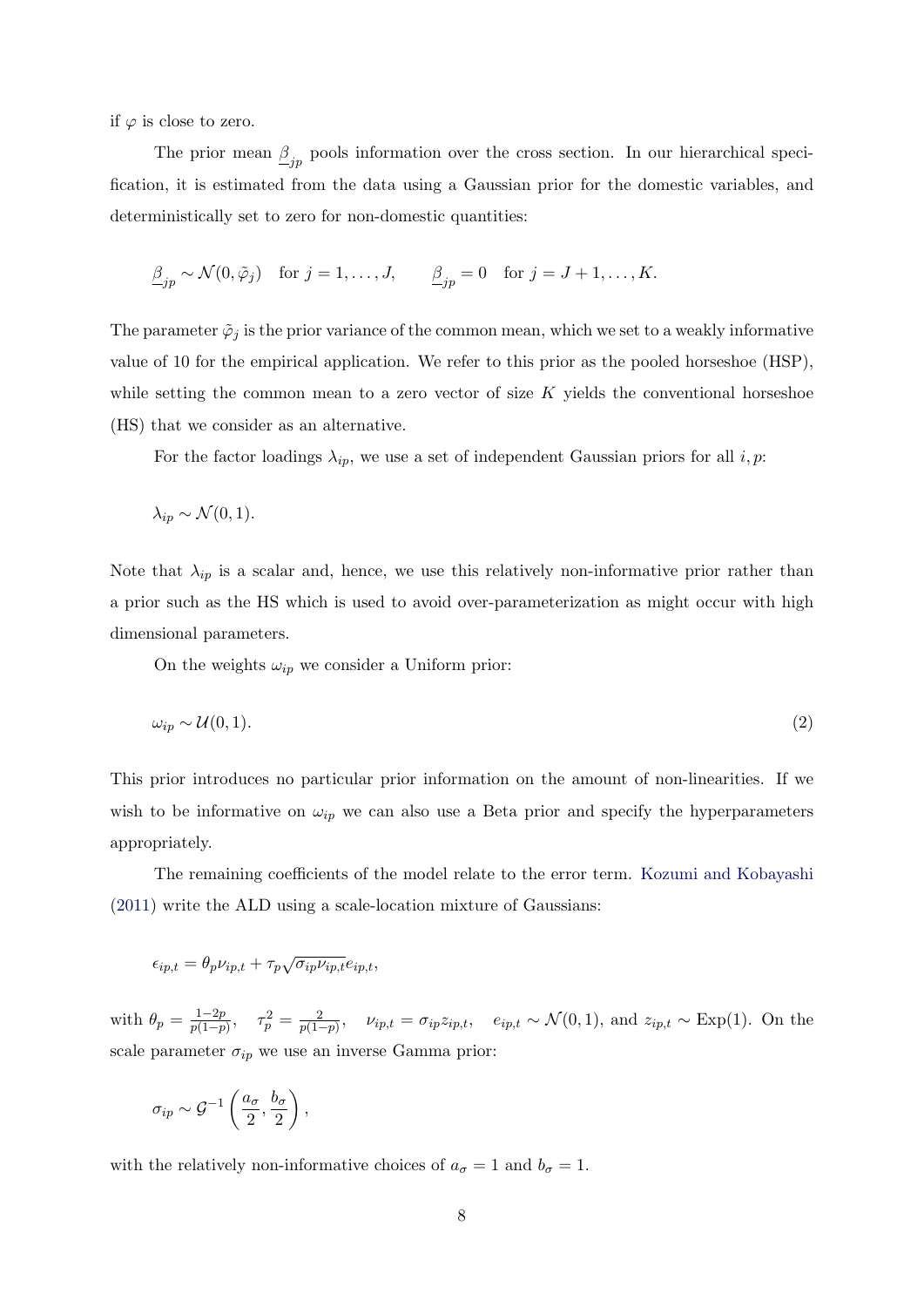if  $\varphi$  is close to zero.

The prior mean  $\underline{\beta}_{jp}$  pools information over the cross section. In our hierarchical specification, it is estimated from the data using a Gaussian prior for the domestic variables, and deterministically set to zero for non-domestic quantities:

$$
\underline{\beta}_{jp} \sim \mathcal{N}(0, \tilde{\varphi}_j) \quad \text{for } j = 1, \dots, J, \qquad \underline{\beta}_{jp} = 0 \quad \text{for } j = J + 1, \dots, K.
$$

The parameter  $\tilde{\varphi}_j$  is the prior variance of the common mean, which we set to a weakly informative value of 10 for the empirical application. We refer to this prior as the pooled horseshoe (HSP), while setting the common mean to a zero vector of size  $K$  yields the conventional horseshoe (HS) that we consider as an alternative.

For the factor loadings  $\lambda_{ip}$ , we use a set of independent Gaussian priors for all i, p:

$$
\lambda_{ip} \sim \mathcal{N}(0,1).
$$

Note that  $\lambda_{ip}$  is a scalar and, hence, we use this relatively non-informative prior rather than a prior such as the HS which is used to avoid over-parameterization as might occur with high dimensional parameters.

On the weights  $\omega_{ip}$  we consider a Uniform prior:

$$
\omega_{ip} \sim \mathcal{U}(0,1). \tag{2}
$$

This prior introduces no particular prior information on the amount of non-linearities. If we wish to be informative on  $\omega_{ip}$  we can also use a Beta prior and specify the hyperparameters appropriately.

The remaining coefficients of the model relate to the error term. [Kozumi and Kobayashi](#page-24-11) [\(2011\)](#page-24-11) write the ALD using a scale-location mixture of Gaussians:

$$
\epsilon_{ip,t} = \theta_p \nu_{ip,t} + \tau_p \sqrt{\sigma_{ip} \nu_{ip,t}} e_{ip,t},
$$

with  $\theta_p = \frac{1-2p}{p(1-p)}$  $\frac{1-2p}{p(1-p)}, \quad \tau_p^2 = \frac{2}{p(1-p)}$  $\frac{2}{p(1-p)}, \quad \nu_{ip,t} = \sigma_{ip} z_{ip,t}, \quad e_{ip,t} \sim \mathcal{N}(0, 1), \text{ and } z_{ip,t} \sim \text{Exp}(1).$  On the scale parameter  $\sigma_{ip}$  we use an inverse Gamma prior:

$$
\sigma_{ip} \sim \mathcal{G}^{-1}\left(\frac{a_{\sigma}}{2},\frac{b_{\sigma}}{2}\right),\,
$$

with the relatively non-informative choices of  $a_{\sigma} = 1$  and  $b_{\sigma} = 1$ .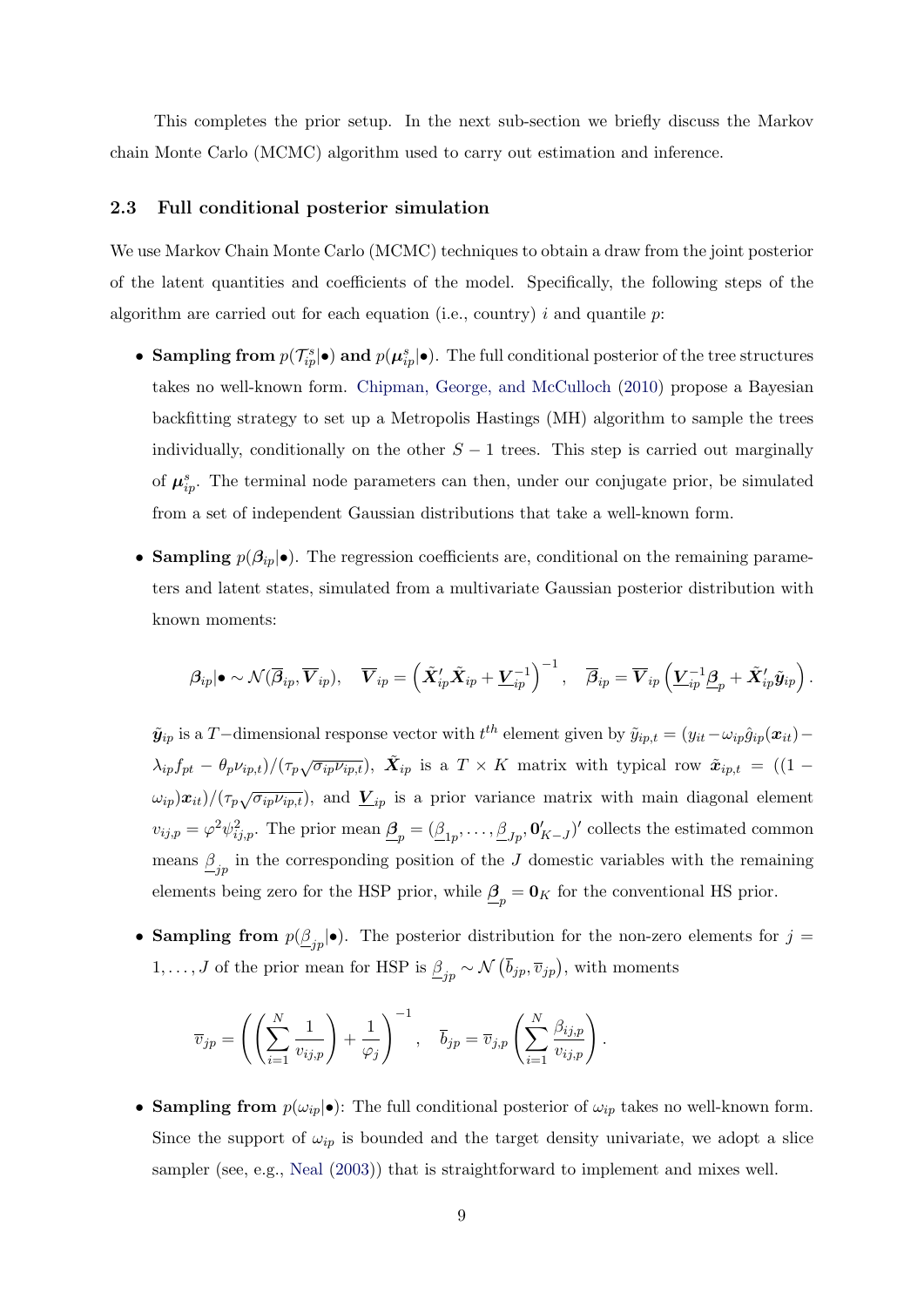This completes the prior setup. In the next sub-section we briefly discuss the Markov chain Monte Carlo (MCMC) algorithm used to carry out estimation and inference.

#### 2.3 Full conditional posterior simulation

We use Markov Chain Monte Carlo (MCMC) techniques to obtain a draw from the joint posterior of the latent quantities and coefficients of the model. Specifically, the following steps of the algorithm are carried out for each equation (i.e., country) i and quantile  $p$ .

- Sampling from  $p(\mathcal{T}_{ip}^s|\bullet)$  and  $p(\mu_{ip}^s|\bullet)$ . The full conditional posterior of the tree structures takes no well-known form. [Chipman, George, and McCulloch](#page-23-18) [\(2010\)](#page-23-18) propose a Bayesian backfitting strategy to set up a Metropolis Hastings (MH) algorithm to sample the trees individually, conditionally on the other  $S - 1$  trees. This step is carried out marginally of  $\mu_{ip}^s$ . The terminal node parameters can then, under our conjugate prior, be simulated from a set of independent Gaussian distributions that take a well-known form.
- Sampling  $p(\beta_{ip}|\bullet)$ . The regression coefficients are, conditional on the remaining parameters and latent states, simulated from a multivariate Gaussian posterior distribution with known moments:

$$
\boldsymbol{\beta}_{ip}|\bullet \sim \mathcal{N}(\overline{\boldsymbol{\beta}}_{ip},\overline{\boldsymbol{V}}_{ip}),\quad \overline{\boldsymbol{V}}_{ip}=\left(\tilde{\boldsymbol{X}}_{ip}^{\prime}\tilde{\boldsymbol{X}}_{ip}+\underline{\boldsymbol{V}}_{ip}^{-1}\right)^{-1},\quad \overline{\boldsymbol{\beta}}_{ip}=\overline{\boldsymbol{V}}_{ip}\left(\underline{\boldsymbol{V}}_{ip}^{-1}\underline{\boldsymbol{\beta}}_{p}+\tilde{\boldsymbol{X}}_{ip}^{\prime}\tilde{\boldsymbol{y}}_{ip}\right).
$$

 $\tilde{y}_{ip}$  is a T−dimensional response vector with  $t^{th}$  element given by  $\tilde{y}_{ip,t} = (y_{it} - \omega_{ip} \hat{g}_{ip}(x_{it}) \lambda_{ip} f_{pt} - \theta_p \nu_{ip,t} / (\tau_p \sqrt{\sigma_{ip} \nu_{ip,t}}), \ \tilde{\mathbf{X}}_{ip}$  is a  $T \times K$  matrix with typical row  $\tilde{\mathbf{x}}_{ip,t} = ((1 - \tau_p)^2)$  $(\omega_{ip})x_{it})/(\tau_p\sqrt{\sigma_{ip}\nu_{ip,t}})$ , and  $\underline{V}_{ip}$  is a prior variance matrix with main diagonal element  $v_{ij,p} = \varphi^2 \psi_{ij,p}^2$ . The prior mean  $\underline{\beta}_p = (\underline{\beta}_{1p}, \dots, \underline{\beta}_{Jp}, \mathbf{0}'_{K-J})'$  collects the estimated common means  $\underline{\beta}_{jp}$  in the corresponding position of the J domestic variables with the remaining elements being zero for the HSP prior, while  $\underline{\beta}_p = \mathbf{0}_K$  for the conventional HS prior.

• Sampling from  $p(\underline{\beta}_{jp}|\bullet)$ . The posterior distribution for the non-zero elements for  $j=$  $1, \ldots, J$  of the prior mean for HSP is  $\underline{\beta}_{jp} \sim \mathcal{N}(\overline{b}_{jp}, \overline{v}_{jp}),$  with moments

$$
\overline{v}_{jp} = \left( \left( \sum_{i=1}^N \frac{1}{v_{ij,p}} \right) + \frac{1}{\varphi_j} \right)^{-1}, \quad \overline{b}_{jp} = \overline{v}_{j,p} \left( \sum_{i=1}^N \frac{\beta_{ij,p}}{v_{ij,p}} \right).
$$

• Sampling from  $p(\omega_{ip}|\bullet)$ : The full conditional posterior of  $\omega_{ip}$  takes no well-known form. Since the support of  $\omega_{ip}$  is bounded and the target density univariate, we adopt a slice sampler (see, e.g., [Neal](#page-24-12) [\(2003\)](#page-24-12)) that is straightforward to implement and mixes well.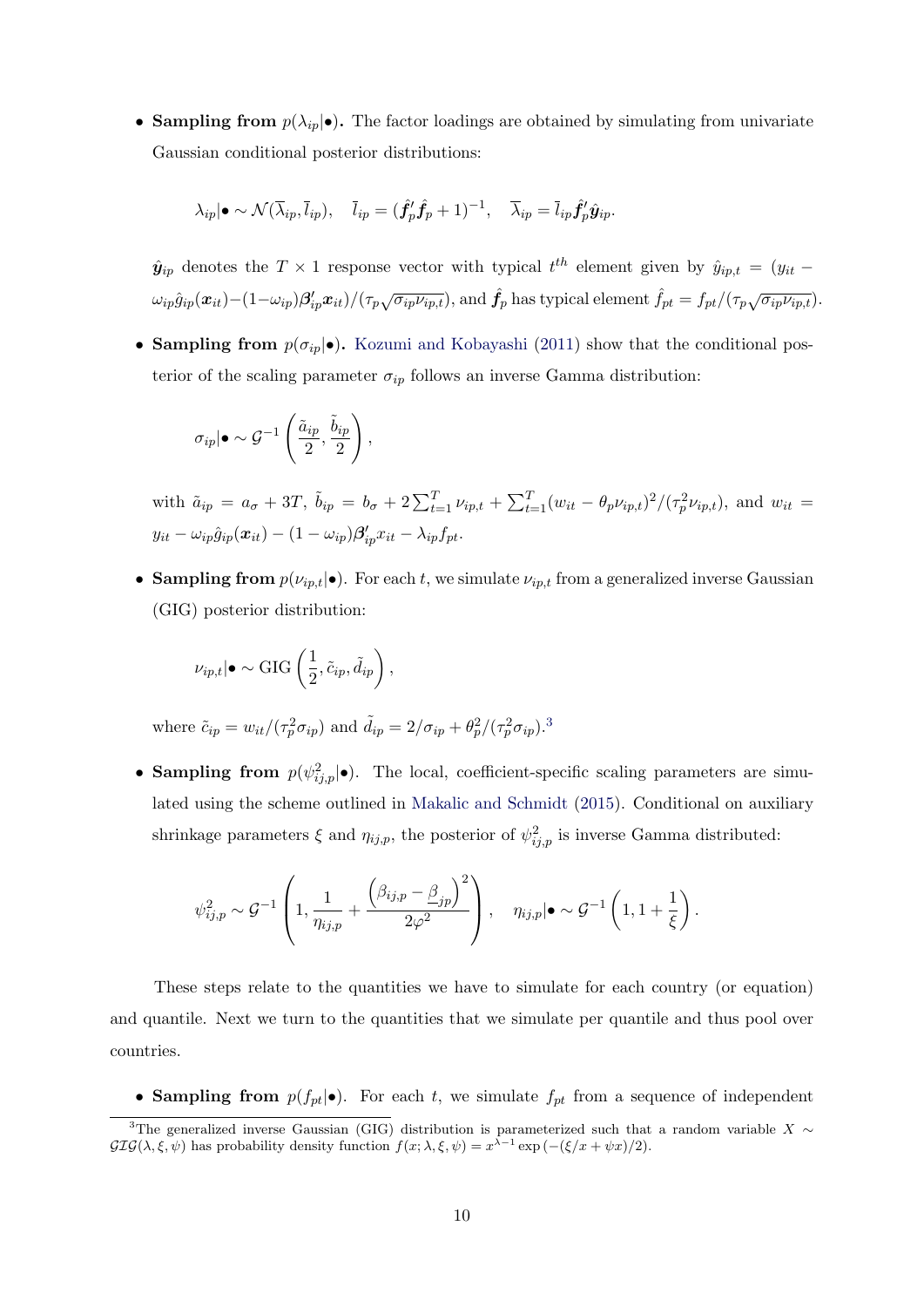• Sampling from  $p(\lambda_{ip}|\bullet)$ . The factor loadings are obtained by simulating from univariate Gaussian conditional posterior distributions:

$$
\lambda_{ip}|\bullet \sim \mathcal{N}(\overline{\lambda}_{ip}, \overline{l}_{ip}), \quad \overline{l}_{ip} = (\hat{f}'_p \hat{f}_p + 1)^{-1}, \quad \overline{\lambda}_{ip} = \overline{l}_{ip} \hat{f}'_p \hat{y}_{ip}.
$$

 $\hat{y}_{ip}$  denotes the  $T \times 1$  response vector with typical  $t^{th}$  element given by  $\hat{y}_{ip,t} = (y_{it} \omega_{ip}\hat{g}_{ip}(\boldsymbol{x}_{it})-(1-\omega_{ip})\boldsymbol{\beta}_{ip}'\boldsymbol{x}_{it})/(\tau_p\sqrt{\sigma_{ip}\nu_{ip,t}})$ , and  $\hat{f}_p$  has typical element  $\hat{f}_{pt} = f_{pt}/(\tau_p\sqrt{\sigma_{ip}\nu_{ip,t}})$ .

• Sampling from  $p(\sigma_{ip}|\bullet)$ . [Kozumi and Kobayashi](#page-24-11) [\(2011\)](#page-24-11) show that the conditional posterior of the scaling parameter  $\sigma_{ip}$  follows an inverse Gamma distribution:

$$
\sigma_{ip}|\bullet \sim \mathcal{G}^{-1}\left(\frac{\tilde{a}_{ip}}{2},\frac{\tilde{b}_{ip}}{2}\right),\,
$$

with  $\tilde{a}_{ip} = a_{\sigma} + 3T$ ,  $\tilde{b}_{ip} = b_{\sigma} + 2 \sum_{t=1}^{T} \nu_{ip,t} + \sum_{t=1}^{T} (w_{it} - \theta_p \nu_{ip,t})^2 / (\tau_p^2 \nu_{ip,t})$ , and  $w_{it} =$  $y_{it} - \omega_{ip} \hat{g}_{ip}(\boldsymbol{x}_{it}) - (1 - \omega_{ip}) \boldsymbol{\beta}^{\prime}_{ip} x_{it} - \lambda_{ip} f_{pt}.$ 

• Sampling from  $p(\nu_{ip,t}|\bullet)$ . For each t, we simulate  $\nu_{ip,t}$  from a generalized inverse Gaussian (GIG) posterior distribution:

$$
\nu_{ip,t}|\bullet\sim\text{GIG}\left(\frac{1}{2},\tilde{c}_{ip},\tilde{d}_{ip}\right),\,
$$

where  $\tilde{c}_{ip} = w_{it}/(\tau_p^2 \sigma_{ip})$  and  $\tilde{d}_{ip} = 2/\sigma_{ip} + \theta_p^2/(\tau_p^2 \sigma_{ip})^3$  $\tilde{d}_{ip} = 2/\sigma_{ip} + \theta_p^2/(\tau_p^2 \sigma_{ip})^3$ .

• Sampling from  $p(\psi_{ij,p}^2|\bullet)$ . The local, coefficient-specific scaling parameters are simulated using the scheme outlined in [Makalic and Schmidt](#page-24-13) [\(2015\)](#page-24-13). Conditional on auxiliary shrinkage parameters  $\xi$  and  $\eta_{ij,p}$ , the posterior of  $\psi_{ij,p}^2$  is inverse Gamma distributed:

$$
\psi_{ij,p}^2 \sim \mathcal{G}^{-1}\left(1, \frac{1}{\eta_{ij,p}} + \frac{\left(\beta_{ij,p} - \underline{\beta}_{jp}\right)^2}{2\varphi^2}\right), \quad \eta_{ij,p}|\bullet \sim \mathcal{G}^{-1}\left(1, 1 + \frac{1}{\xi}\right).
$$

These steps relate to the quantities we have to simulate for each country (or equation) and quantile. Next we turn to the quantities that we simulate per quantile and thus pool over countries.

• Sampling from  $p(f_{pt}|\bullet)$ . For each t, we simulate  $f_{pt}$  from a sequence of independent

<span id="page-9-0"></span><sup>&</sup>lt;sup>3</sup>The generalized inverse Gaussian (GIG) distribution is parameterized such that a random variable X ∼  $GIG(\lambda, \xi, \psi)$  has probability density function  $f(x; \lambda, \xi, \psi) = x^{\lambda - 1} \exp(-(\xi/x + \psi x)/2)$ .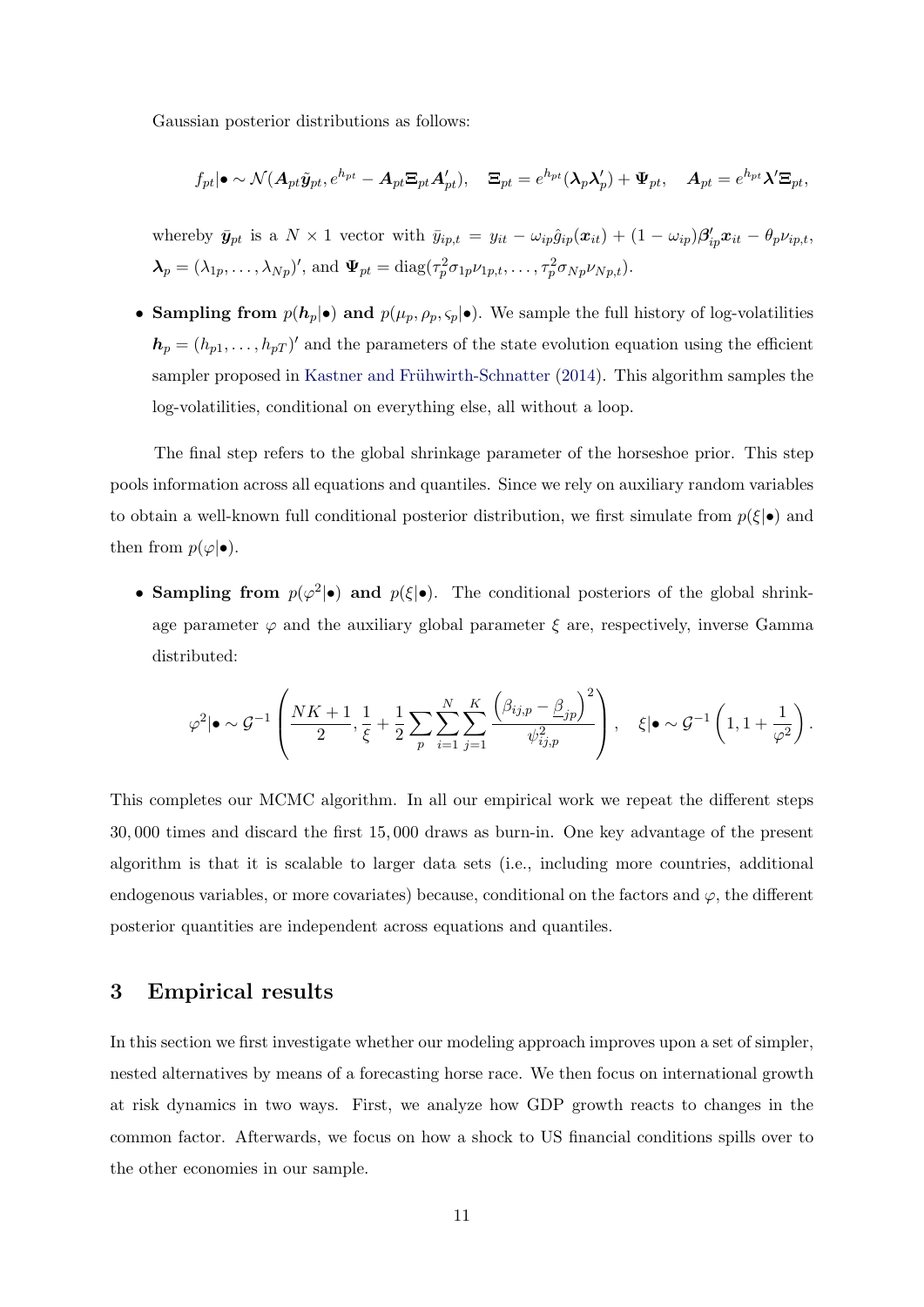Gaussian posterior distributions as follows:

$$
f_{pt}|\bullet \sim \mathcal{N}(\mathbf{A}_{pt}\tilde{\mathbf{y}}_{pt},e^{h_{pt}}-\mathbf{A}_{pt}\mathbf{\Xi}_{pt}\mathbf{A}_{pt}'),\quad \mathbf{\Xi}_{pt}=e^{h_{pt}}(\boldsymbol{\lambda}_p\boldsymbol{\lambda}_p')+\boldsymbol{\Psi}_{pt},\quad \mathbf{A}_{pt}=e^{h_{pt}}\boldsymbol{\lambda}'\mathbf{\Xi}_{pt},
$$

whereby  $\bar{y}_{pt}$  is a  $N \times 1$  vector with  $\bar{y}_{ip,t} = y_{it} - \omega_{ip} \hat{g}_{ip}(x_{it}) + (1 - \omega_{ip}) \beta'_{ip} x_{it} - \theta_{p} \nu_{ip,t}$ ,  $\boldsymbol{\lambda}_p = (\lambda_{1p}, \dots, \lambda_{Np})'$ , and  $\boldsymbol{\Psi}_{pt} = \text{diag}(\tau_p^2 \sigma_{1p} \nu_{1p,t}, \dots, \tau_p^2 \sigma_{Np} \nu_{Np,t}).$ 

• Sampling from  $p(h_p|\bullet)$  and  $p(\mu_p, \rho_p, \varsigma_p|\bullet)$ . We sample the full history of log-volatilities  $\mathbf{h}_p = (h_{p1}, \dots, h_{pT})'$  and the parameters of the state evolution equation using the efficient sampler proposed in Kastner and Frühwirth-Schnatter [\(2014\)](#page-23-22). This algorithm samples the log-volatilities, conditional on everything else, all without a loop.

The final step refers to the global shrinkage parameter of the horseshoe prior. This step pools information across all equations and quantiles. Since we rely on auxiliary random variables to obtain a well-known full conditional posterior distribution, we first simulate from  $p(\xi|\bullet)$  and then from  $p(\varphi|\bullet)$ .

• Sampling from  $p(\varphi^2|\bullet)$  and  $p(\xi|\bullet)$ . The conditional posteriors of the global shrinkage parameter  $\varphi$  and the auxiliary global parameter  $\xi$  are, respectively, inverse Gamma distributed:

$$
\varphi^2 | \bullet \sim \mathcal{G}^{-1} \left( \frac{NK+1}{2}, \frac{1}{\xi} + \frac{1}{2} \sum_p \sum_{i=1}^N \sum_{j=1}^K \frac{\left(\beta_{ij,p} - \underline{\beta}_{jp}\right)^2}{\psi_{ij,p}^2} \right), \quad \xi | \bullet \sim \mathcal{G}^{-1} \left(1, 1 + \frac{1}{\varphi^2}\right).
$$

This completes our MCMC algorithm. In all our empirical work we repeat the different steps 30, 000 times and discard the first 15, 000 draws as burn-in. One key advantage of the present algorithm is that it is scalable to larger data sets (i.e., including more countries, additional endogenous variables, or more covariates) because, conditional on the factors and  $\varphi$ , the different posterior quantities are independent across equations and quantiles.

## 3 Empirical results

In this section we first investigate whether our modeling approach improves upon a set of simpler, nested alternatives by means of a forecasting horse race. We then focus on international growth at risk dynamics in two ways. First, we analyze how GDP growth reacts to changes in the common factor. Afterwards, we focus on how a shock to US financial conditions spills over to the other economies in our sample.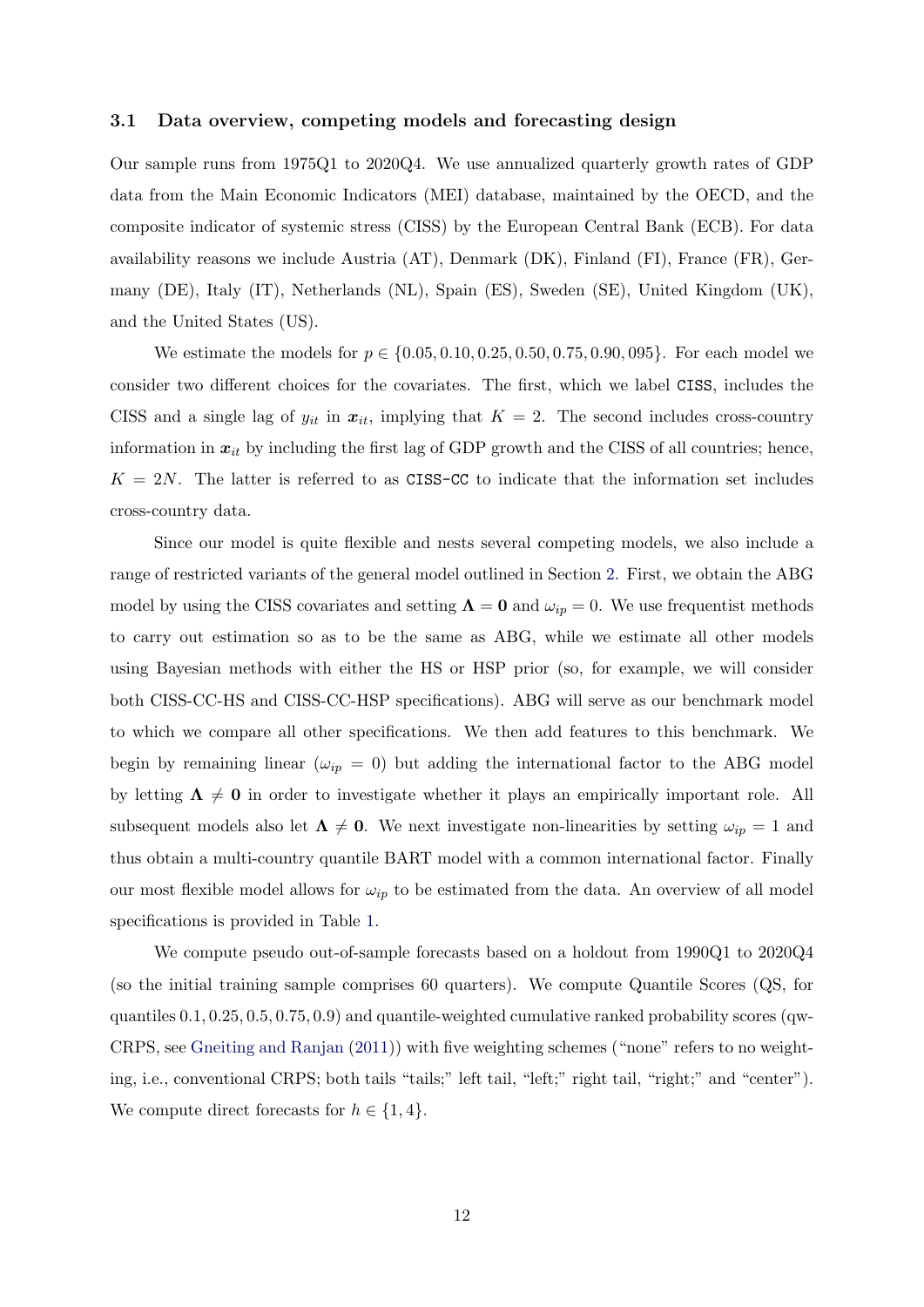#### 3.1 Data overview, competing models and forecasting design

Our sample runs from 1975Q1 to 2020Q4. We use annualized quarterly growth rates of GDP data from the Main Economic Indicators (MEI) database, maintained by the OECD, and the composite indicator of systemic stress (CISS) by the European Central Bank (ECB). For data availability reasons we include Austria (AT), Denmark (DK), Finland (FI), France (FR), Germany (DE), Italy (IT), Netherlands (NL), Spain (ES), Sweden (SE), United Kingdom (UK), and the United States (US).

We estimate the models for  $p \in \{0.05, 0.10, 0.25, 0.50, 0.75, 0.90, 095\}$ . For each model we consider two different choices for the covariates. The first, which we label CISS, includes the CISS and a single lag of  $y_{it}$  in  $x_{it}$ , implying that  $K = 2$ . The second includes cross-country information in  $x_{it}$  by including the first lag of GDP growth and the CISS of all countries; hence,  $K = 2N$ . The latter is referred to as CISS-CC to indicate that the information set includes cross-country data.

Since our model is quite flexible and nests several competing models, we also include a range of restricted variants of the general model outlined in Section [2.](#page-3-2) First, we obtain the ABG model by using the CISS covariates and setting  $\Lambda = 0$  and  $\omega_{ip} = 0$ . We use frequentist methods to carry out estimation so as to be the same as ABG, while we estimate all other models using Bayesian methods with either the HS or HSP prior (so, for example, we will consider both CISS-CC-HS and CISS-CC-HSP specifications). ABG will serve as our benchmark model to which we compare all other specifications. We then add features to this benchmark. We begin by remaining linear ( $\omega_{ip} = 0$ ) but adding the international factor to the ABG model by letting  $\Lambda \neq 0$  in order to investigate whether it plays an empirically important role. All subsequent models also let  $\Lambda \neq 0$ . We next investigate non-linearities by setting  $\omega_{ip} = 1$  and thus obtain a multi-country quantile BART model with a common international factor. Finally our most flexible model allows for  $\omega_{ip}$  to be estimated from the data. An overview of all model specifications is provided in Table [1.](#page-12-0)

We compute pseudo out-of-sample forecasts based on a holdout from 1990Q1 to 2020Q4 (so the initial training sample comprises 60 quarters). We compute Quantile Scores (QS, for quantiles 0.1, 0.25, 0.5, 0.75, 0.9) and quantile-weighted cumulative ranked probability scores (qw-CRPS, see [Gneiting and Ranjan](#page-23-23) [\(2011\)](#page-23-23)) with five weighting schemes ("none" refers to no weighting, i.e., conventional CRPS; both tails "tails;" left tail, "left;" right tail, "right;" and "center"). We compute direct forecasts for  $h \in \{1, 4\}.$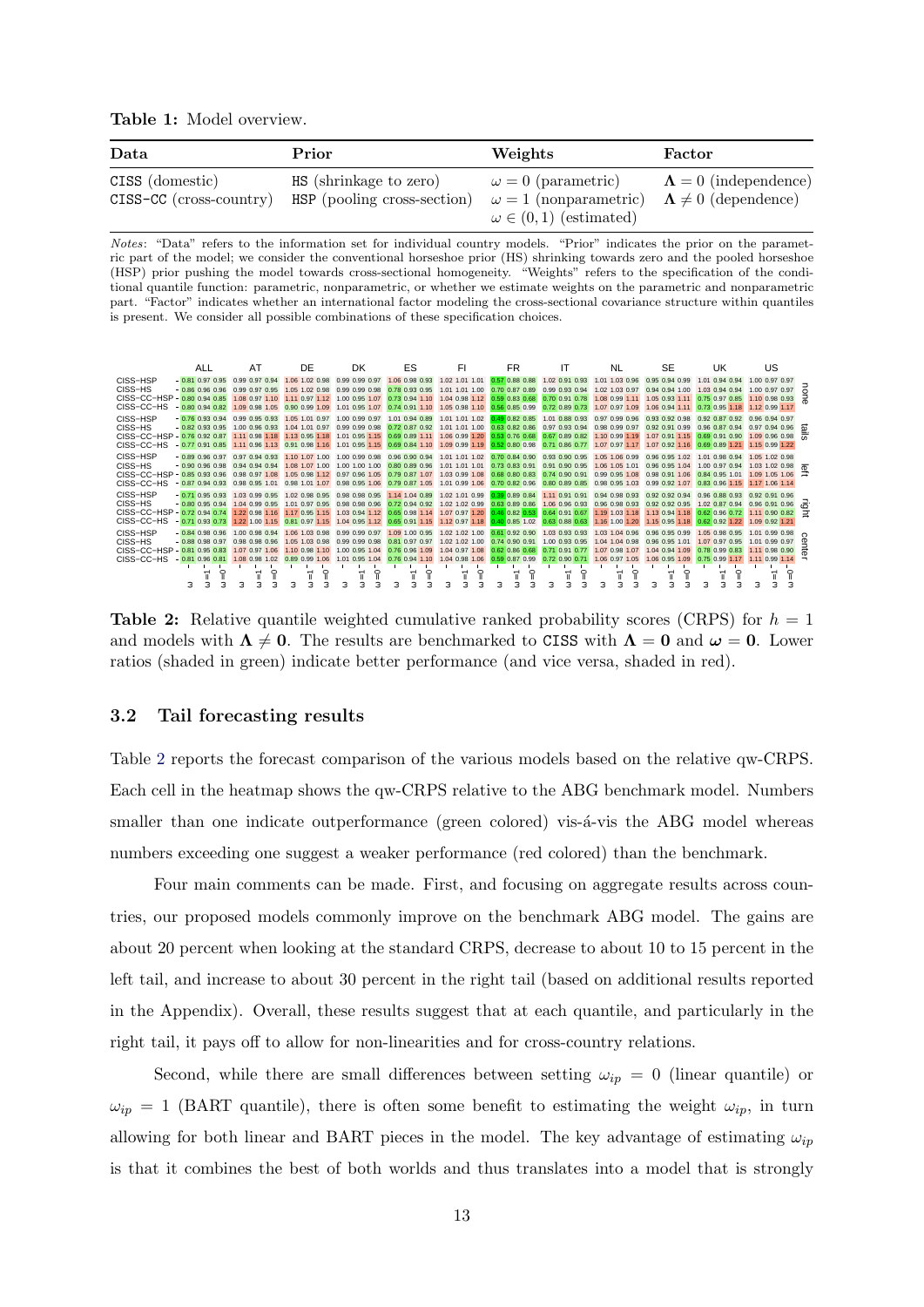Table 1: Model overview.

<span id="page-12-0"></span>

| Data                                            | Prior                                                 | Weights                                                   | Factor                                                        |
|-------------------------------------------------|-------------------------------------------------------|-----------------------------------------------------------|---------------------------------------------------------------|
| CISS (domestic)<br>$CISS-CC$ ( $\csc-country$ ) | HS (shrinkage to zero)<br>HSP (pooling cross-section) | $\omega = 0$ (parametric)<br>$\omega = 1$ (nonparametric) | $\Lambda = 0$ (independence)<br>$\Lambda \neq 0$ (dependence) |
|                                                 |                                                       | $\omega \in (0,1)$ (estimated)                            |                                                               |

Notes: "Data" refers to the information set for individual country models. "Prior" indicates the prior on the parametric part of the model; we consider the conventional horseshoe prior (HS) shrinking towards zero and the pooled horseshoe (HSP) prior pushing the model towards cross-sectional homogeneity. "Weights" refers to the specification of the conditional quantile function: parametric, nonparametric, or whether we estimate weights on the parametric and nonparametric part. "Factor" indicates whether an international factor modeling the cross-sectional covariance structure within quantiles is present. We consider all possible combinations of these specification choices.

<span id="page-12-1"></span>

**Table 2:** Relative quantile weighted cumulative ranked probability scores (CRPS) for  $h = 1$ and models with  $\Lambda \neq 0$ . The results are benchmarked to CISS with  $\Lambda = 0$  and  $\omega = 0$ . Lower ratios (shaded in green) indicate better performance (and vice versa, shaded in red).

#### 3.2 Tail forecasting results

Table [2](#page-12-1) reports the forecast comparison of the various models based on the relative qw-CRPS. Each cell in the heatmap shows the qw-CRPS relative to the ABG benchmark model. Numbers smaller than one indicate outperformance (green colored) vis- $\acute{a}$ -vis the ABG model whereas numbers exceeding one suggest a weaker performance (red colored) than the benchmark.

Four main comments can be made. First, and focusing on aggregate results across countries, our proposed models commonly improve on the benchmark ABG model. The gains are about 20 percent when looking at the standard CRPS, decrease to about 10 to 15 percent in the left tail, and increase to about 30 percent in the right tail (based on additional results reported in the Appendix). Overall, these results suggest that at each quantile, and particularly in the right tail, it pays off to allow for non-linearities and for cross-country relations.

Second, while there are small differences between setting  $\omega_{ip} = 0$  (linear quantile) or  $\omega_{ip} = 1$  (BART quantile), there is often some benefit to estimating the weight  $\omega_{ip}$ , in turn allowing for both linear and BART pieces in the model. The key advantage of estimating  $\omega_{ip}$ is that it combines the best of both worlds and thus translates into a model that is strongly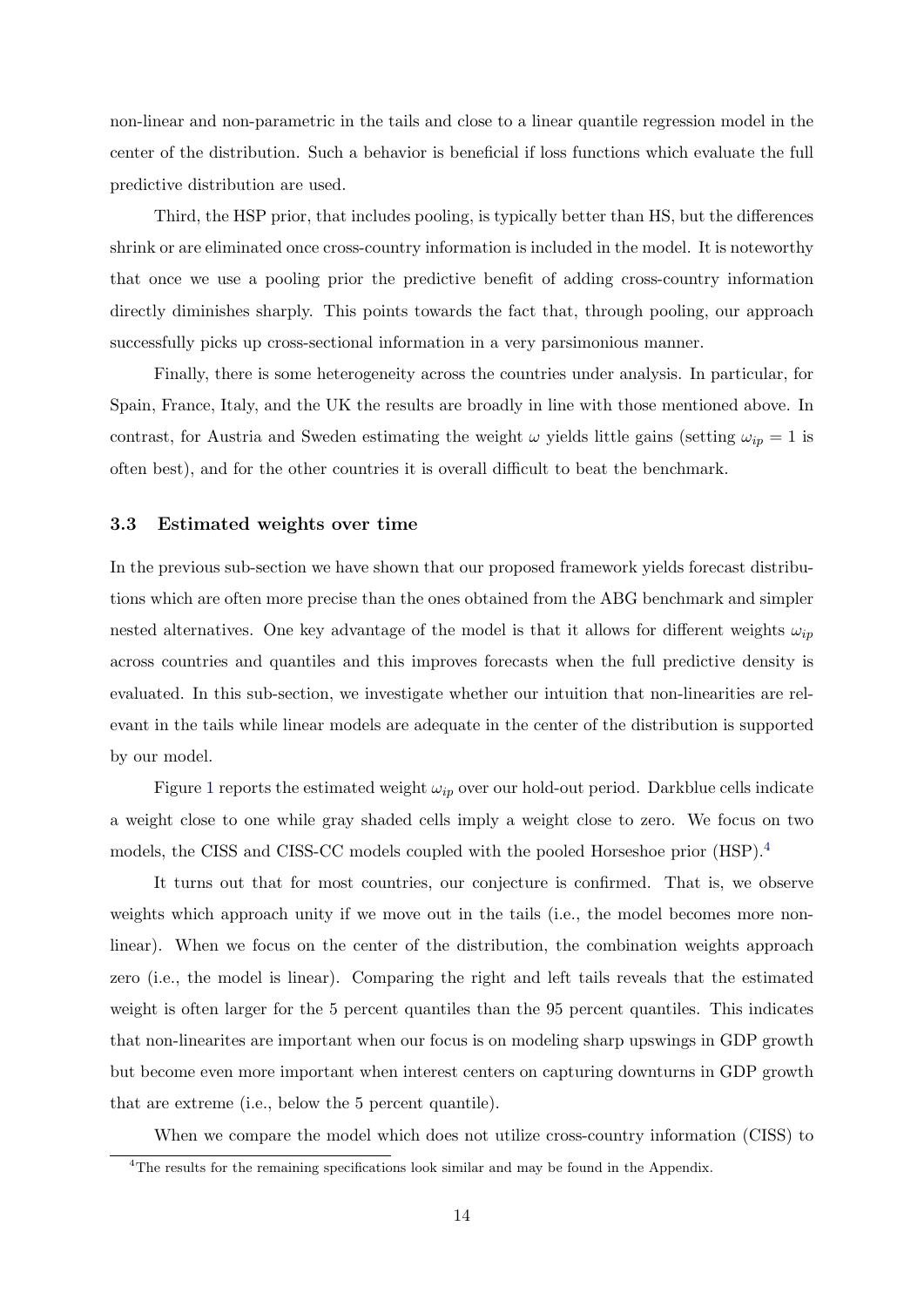non-linear and non-parametric in the tails and close to a linear quantile regression model in the center of the distribution. Such a behavior is beneficial if loss functions which evaluate the full predictive distribution are used.

Third, the HSP prior, that includes pooling, is typically better than HS, but the differences shrink or are eliminated once cross-country information is included in the model. It is noteworthy that once we use a pooling prior the predictive benefit of adding cross-country information directly diminishes sharply. This points towards the fact that, through pooling, our approach successfully picks up cross-sectional information in a very parsimonious manner.

Finally, there is some heterogeneity across the countries under analysis. In particular, for Spain, France, Italy, and the UK the results are broadly in line with those mentioned above. In contrast, for Austria and Sweden estimating the weight  $\omega$  yields little gains (setting  $\omega_{ip} = 1$  is often best), and for the other countries it is overall difficult to beat the benchmark.

#### 3.3 Estimated weights over time

In the previous sub-section we have shown that our proposed framework yields forecast distributions which are often more precise than the ones obtained from the ABG benchmark and simpler nested alternatives. One key advantage of the model is that it allows for different weights  $\omega_{ip}$ across countries and quantiles and this improves forecasts when the full predictive density is evaluated. In this sub-section, we investigate whether our intuition that non-linearities are relevant in the tails while linear models are adequate in the center of the distribution is supported by our model.

Figure [1](#page-14-0) reports the estimated weight  $\omega_{ip}$  over our hold-out period. Darkblue cells indicate a weight close to one while gray shaded cells imply a weight close to zero. We focus on two models, the CISS and CISS-CC models coupled with the pooled Horseshoe prior (HSP).[4](#page-13-0)

It turns out that for most countries, our conjecture is confirmed. That is, we observe weights which approach unity if we move out in the tails (i.e., the model becomes more nonlinear). When we focus on the center of the distribution, the combination weights approach zero (i.e., the model is linear). Comparing the right and left tails reveals that the estimated weight is often larger for the 5 percent quantiles than the 95 percent quantiles. This indicates that non-linearites are important when our focus is on modeling sharp upswings in GDP growth but become even more important when interest centers on capturing downturns in GDP growth that are extreme (i.e., below the 5 percent quantile).

When we compare the model which does not utilize cross-country information (CISS) to

<span id="page-13-0"></span><sup>4</sup>The results for the remaining specifications look similar and may be found in the Appendix.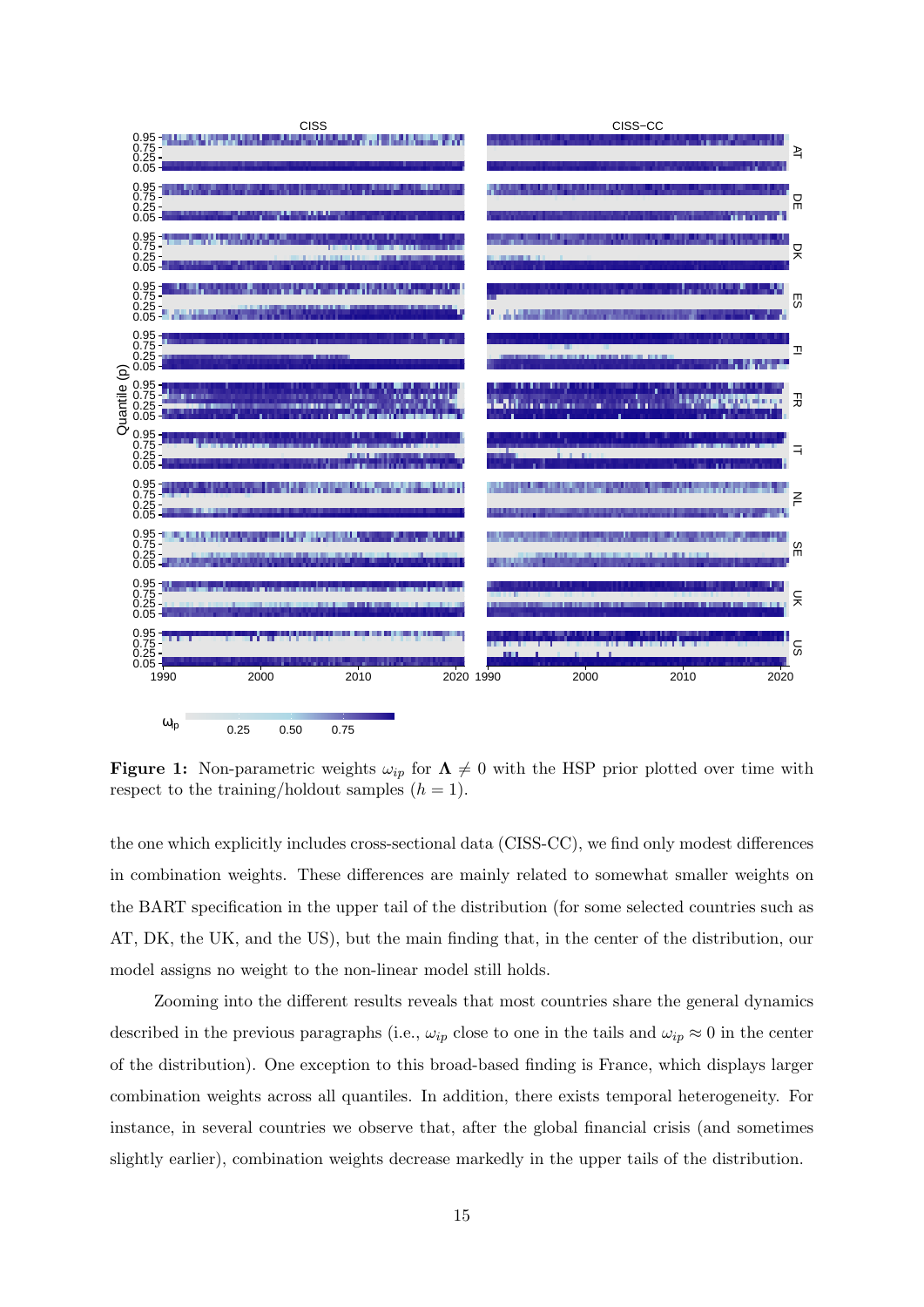<span id="page-14-0"></span>

**Figure 1:** Non-parametric weights  $\omega_{ip}$  for  $\Lambda \neq 0$  with the HSP prior plotted over time with respect to the training/holdout samples  $(h = 1)$ .

the one which explicitly includes cross-sectional data (CISS-CC), we find only modest differences in combination weights. These differences are mainly related to somewhat smaller weights on the BART specification in the upper tail of the distribution (for some selected countries such as AT, DK, the UK, and the US), but the main finding that, in the center of the distribution, our model assigns no weight to the non-linear model still holds.

Zooming into the different results reveals that most countries share the general dynamics described in the previous paragraphs (i.e.,  $\omega_{ip}$  close to one in the tails and  $\omega_{ip} \approx 0$  in the center of the distribution). One exception to this broad-based finding is France, which displays larger combination weights across all quantiles. In addition, there exists temporal heterogeneity. For instance, in several countries we observe that, after the global financial crisis (and sometimes slightly earlier), combination weights decrease markedly in the upper tails of the distribution.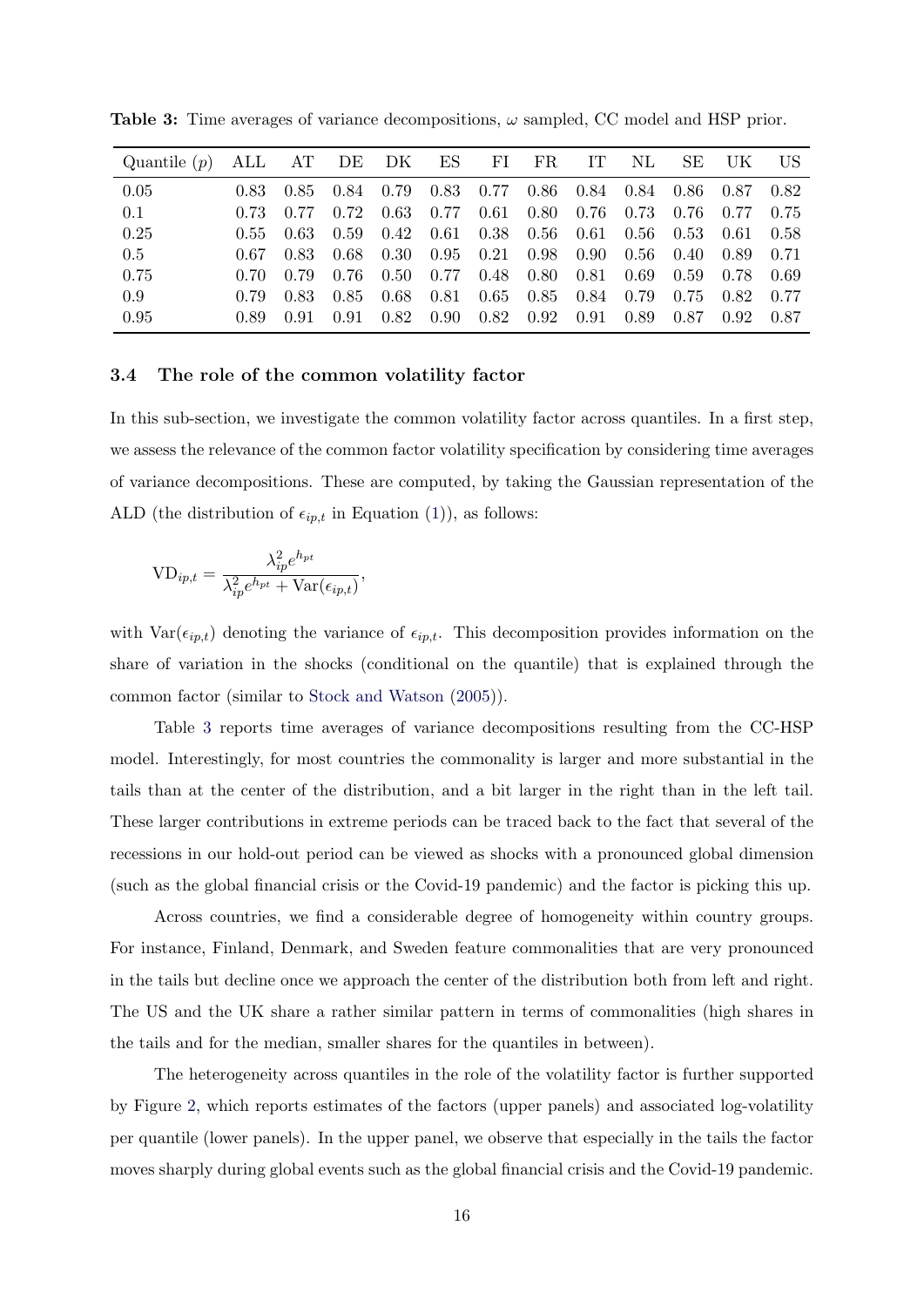| Quantile $(p)$ |      | ALL AT DE DK ES FI FR |      |                              |                                                    |                  | $\Gamma$ | NL.         | SE.                                | -UK-  | – US  |
|----------------|------|-----------------------|------|------------------------------|----------------------------------------------------|------------------|----------|-------------|------------------------------------|-------|-------|
| 0.05           | 0.83 | 0.85                  | 0.84 | $0.79$ $0.83$ $0.77$         |                                                    |                  |          |             | $0.86$ $0.84$ $0.84$ $0.86$ $0.87$ |       | 0.82  |
| 0.1            | 0.73 | 0.77                  | 0.72 | $0.63$ 0.77                  | 0.61                                               | $0.80\quad 0.76$ |          | $0.73$ 0.76 |                                    | 0.77  | 0.75  |
| 0.25           | 0.55 | 0.63                  | 0.59 | $0.42 \quad 0.61 \quad 0.38$ |                                                    | $0.56\,$         | 0.61     | 0.56        | 0.53                               | -0.61 | 0.58  |
| 0.5            | 0.67 | 0.83                  | 0.68 |                              | $0.30 \quad 0.95 \quad 0.21 \quad 0.98 \quad 0.90$ |                  |          |             | $0.56 \quad 0.40$                  | 0.89  | 0.71  |
| 0.75           | 0.70 | 0.79                  | 0.76 | $0.50 \quad 0.77$            | 0.48                                               | 0.80             | 0.81     | 0.69        | 0.59                               | 0.78  | 0.69  |
| 0.9            | 0.79 | 0.83                  | 0.85 | $0.68$ 0.81                  | 0.65                                               | 0.85             | 0.84     | 0.79        | 0.75                               | 0.82  | 0.77  |
| 0.95           | 0.89 | 0.91                  | 0.91 | $0.82 \quad 0.90$            | 0.82                                               | 0.92             | 0.91     | 0.89        | 0.87                               | 0.92  | -0.87 |

<span id="page-15-0"></span>**Table 3:** Time averages of variance decompositions,  $\omega$  sampled, CC model and HSP prior.

#### 3.4 The role of the common volatility factor

In this sub-section, we investigate the common volatility factor across quantiles. In a first step, we assess the relevance of the common factor volatility specification by considering time averages of variance decompositions. These are computed, by taking the Gaussian representation of the ALD (the distribution of  $\epsilon_{ip,t}$  in Equation [\(1\)](#page-3-1)), as follows:

$$
VD_{ip,t} = \frac{\lambda_{ip}^2 e^{h_{pt}}}{\lambda_{ip}^2 e^{h_{pt}} + \text{Var}(\epsilon_{ip,t})},
$$

with  $Var(\epsilon_{ip,t})$  denoting the variance of  $\epsilon_{ip,t}$ . This decomposition provides information on the share of variation in the shocks (conditional on the quantile) that is explained through the common factor (similar to [Stock and Watson](#page-24-14) [\(2005\)](#page-24-14)).

Table [3](#page-15-0) reports time averages of variance decompositions resulting from the CC-HSP model. Interestingly, for most countries the commonality is larger and more substantial in the tails than at the center of the distribution, and a bit larger in the right than in the left tail. These larger contributions in extreme periods can be traced back to the fact that several of the recessions in our hold-out period can be viewed as shocks with a pronounced global dimension (such as the global financial crisis or the Covid-19 pandemic) and the factor is picking this up.

Across countries, we find a considerable degree of homogeneity within country groups. For instance, Finland, Denmark, and Sweden feature commonalities that are very pronounced in the tails but decline once we approach the center of the distribution both from left and right. The US and the UK share a rather similar pattern in terms of commonalities (high shares in the tails and for the median, smaller shares for the quantiles in between).

The heterogeneity across quantiles in the role of the volatility factor is further supported by Figure [2,](#page-16-0) which reports estimates of the factors (upper panels) and associated log-volatility per quantile (lower panels). In the upper panel, we observe that especially in the tails the factor moves sharply during global events such as the global financial crisis and the Covid-19 pandemic.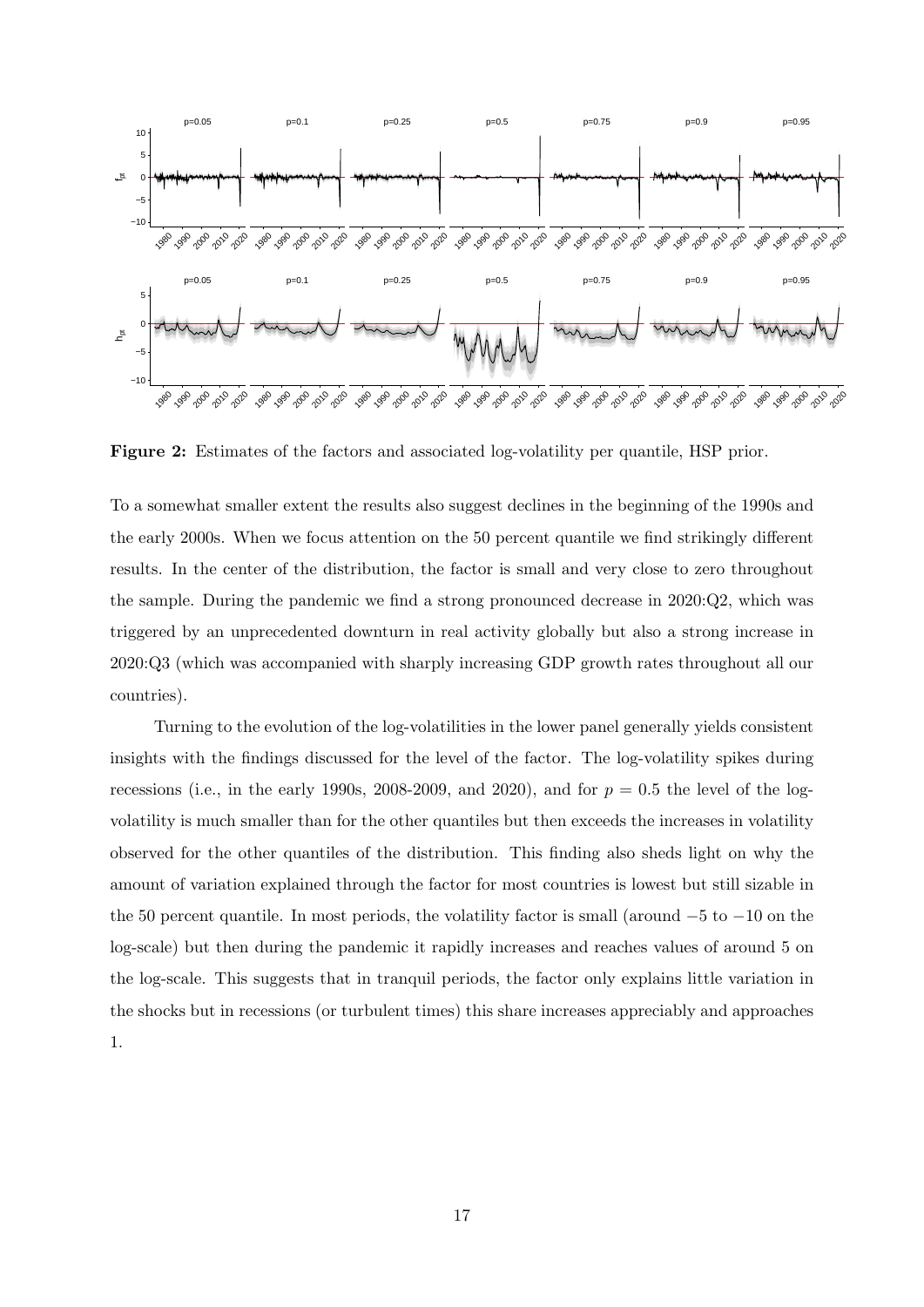<span id="page-16-0"></span>

Figure 2: Estimates of the factors and associated log-volatility per quantile, HSP prior.

To a somewhat smaller extent the results also suggest declines in the beginning of the 1990s and the early 2000s. When we focus attention on the 50 percent quantile we find strikingly different results. In the center of the distribution, the factor is small and very close to zero throughout the sample. During the pandemic we find a strong pronounced decrease in 2020:Q2, which was triggered by an unprecedented downturn in real activity globally but also a strong increase in 2020:Q3 (which was accompanied with sharply increasing GDP growth rates throughout all our countries).

Turning to the evolution of the log-volatilities in the lower panel generally yields consistent insights with the findings discussed for the level of the factor. The log-volatility spikes during recessions (i.e., in the early 1990s, 2008-2009, and 2020), and for  $p = 0.5$  the level of the logvolatility is much smaller than for the other quantiles but then exceeds the increases in volatility observed for the other quantiles of the distribution. This finding also sheds light on why the amount of variation explained through the factor for most countries is lowest but still sizable in the 50 percent quantile. In most periods, the volatility factor is small (around −5 to −10 on the log-scale) but then during the pandemic it rapidly increases and reaches values of around 5 on the log-scale. This suggests that in tranquil periods, the factor only explains little variation in the shocks but in recessions (or turbulent times) this share increases appreciably and approaches 1.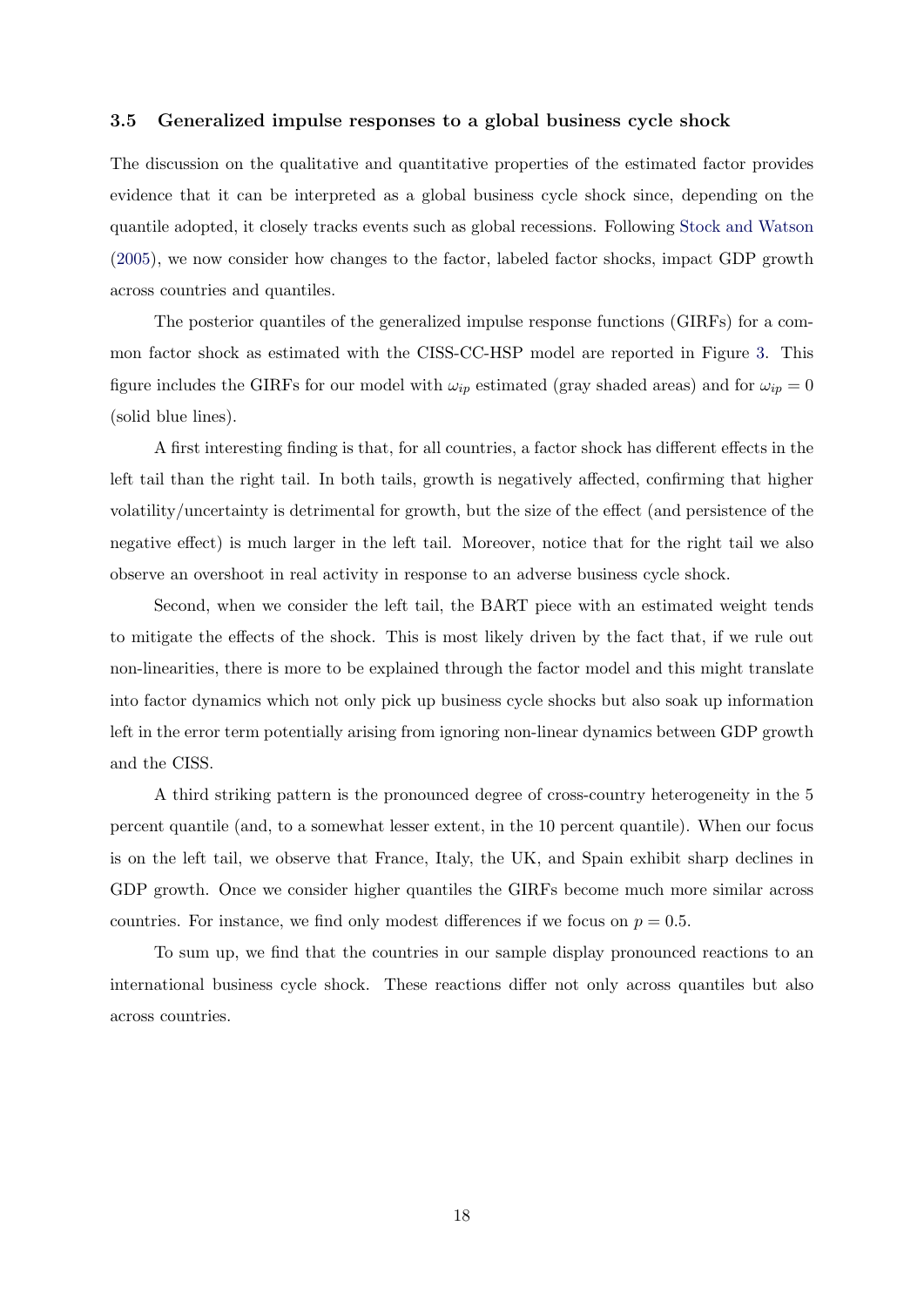#### 3.5 Generalized impulse responses to a global business cycle shock

The discussion on the qualitative and quantitative properties of the estimated factor provides evidence that it can be interpreted as a global business cycle shock since, depending on the quantile adopted, it closely tracks events such as global recessions. Following [Stock and Watson](#page-24-14) [\(2005\)](#page-24-14), we now consider how changes to the factor, labeled factor shocks, impact GDP growth across countries and quantiles.

The posterior quantiles of the generalized impulse response functions (GIRFs) for a common factor shock as estimated with the CISS-CC-HSP model are reported in Figure [3.](#page-18-0) This figure includes the GIRFs for our model with  $\omega_{ip}$  estimated (gray shaded areas) and for  $\omega_{ip} = 0$ (solid blue lines).

A first interesting finding is that, for all countries, a factor shock has different effects in the left tail than the right tail. In both tails, growth is negatively affected, confirming that higher volatility/uncertainty is detrimental for growth, but the size of the effect (and persistence of the negative effect) is much larger in the left tail. Moreover, notice that for the right tail we also observe an overshoot in real activity in response to an adverse business cycle shock.

Second, when we consider the left tail, the BART piece with an estimated weight tends to mitigate the effects of the shock. This is most likely driven by the fact that, if we rule out non-linearities, there is more to be explained through the factor model and this might translate into factor dynamics which not only pick up business cycle shocks but also soak up information left in the error term potentially arising from ignoring non-linear dynamics between GDP growth and the CISS.

A third striking pattern is the pronounced degree of cross-country heterogeneity in the 5 percent quantile (and, to a somewhat lesser extent, in the 10 percent quantile). When our focus is on the left tail, we observe that France, Italy, the UK, and Spain exhibit sharp declines in GDP growth. Once we consider higher quantiles the GIRFs become much more similar across countries. For instance, we find only modest differences if we focus on  $p = 0.5$ .

To sum up, we find that the countries in our sample display pronounced reactions to an international business cycle shock. These reactions differ not only across quantiles but also across countries.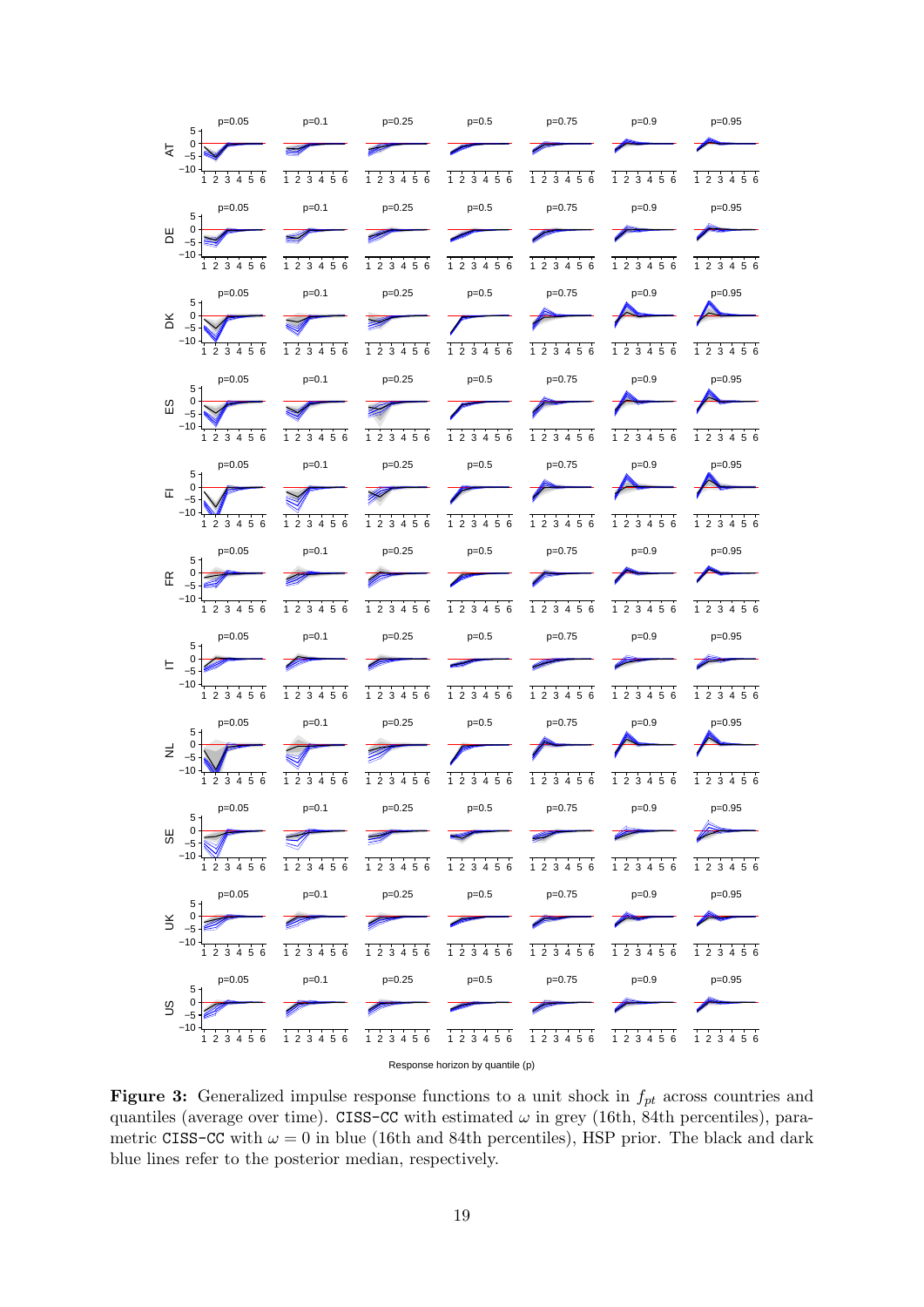<span id="page-18-0"></span>

|        | $p=0.05$<br>$5 +$             | $p=0.1$                                     | $p=0.25$                    | $p=0.5$                                      | $p=0.75$                                     | $p=0.9$                                   | $p=0.95$           |
|--------|-------------------------------|---------------------------------------------|-----------------------------|----------------------------------------------|----------------------------------------------|-------------------------------------------|--------------------|
| R      | $\pmb{0}$<br>$-5$             |                                             |                             |                                              |                                              |                                           |                    |
|        | $-10$<br>1 2 3 4 5 6          | 1 2 3 4 5 6                                 | 1 2 3 4 5 6                 | 1 2 3 4 5 6                                  | 1 2 3 4 5 6                                  | 1 2 3 4 5 6                               | 1 2 3 4 5 6        |
|        | $p=0.05$<br>5 <sub>1</sub>    | $p=0.1$                                     | $p=0.25$                    | $p=0.5$                                      | $p=0.75$                                     | $p=0.9$                                   | $p=0.95$           |
| 出      | 0<br>$-5$                     |                                             |                             |                                              |                                              |                                           |                    |
|        | $-10$<br>1 2 3 4 5 6          | 3 4 5 6<br>1 <sub>2</sub>                   | 1 2 3 4 5 6                 | 1 2 3 4 5 6                                  | 1 2 3 4 5 6                                  | 1 2 3 4 5 6                               | 1 2 3 4 5 6        |
|        | $p=0.05$<br>$5 +$             | $p=0.1$                                     | $p=0.25$                    | $p=0.5$                                      | $p=0.75$                                     | $p=0.9$                                   | $p=0.95$           |
| ă      | $\pmb{0}$<br>$-5$             |                                             |                             |                                              |                                              |                                           |                    |
|        | $-10$<br>1 2 3 4 5 6          | 1 2 3 4 5 6                                 | 1 2 3 4 5 6                 | 1 2 3 4 5 6                                  | $1\ 2\ 3\ 4\ 5\ 6$                           | 1 2 3 4 5 6                               | 1 2 3 4 5 6        |
|        | $p=0.05$<br>5 <sub>1</sub>    | $p=0.1$                                     | $p=0.25$                    | $p=0.5$                                      | $p=0.75$                                     | $p=0.9$                                   | $p=0.95$           |
| 53     | $\pmb{0}$<br>$-5$             |                                             |                             |                                              |                                              |                                           |                    |
|        | $-10$<br>1 2 3 4 5 6          | 56<br>1 <sub>2</sub><br>3<br>$\overline{4}$ | 456<br>1 <sub>2</sub><br>3  | 4 5 6<br>$\overline{2}$<br>3<br>$\mathbf{1}$ | 3<br>4 5 6<br>$\overline{2}$<br>$\mathbf{1}$ | $\overline{2}$<br>3 4 5 6<br>$\mathbf{1}$ | 2 3 4 5 6<br>1     |
|        | $p=0.05$<br>5 <sub>1</sub>    | $p=0.1$                                     | $p=0.25$                    | $p=0.5$                                      | $p=0.75$                                     | $p=0.9$                                   | $p=0.95$           |
| 匸      | $\mathbf 0$<br>$-5$           |                                             |                             |                                              |                                              |                                           |                    |
|        | $-10$<br>1 2 3 4<br>5 6       | 1 2 3 4 5 6                                 | $4\overline{5}6$<br>12<br>3 | 12<br>3 4 5 6                                | $1\ 2\ 3\ 4\ 5\ 6$                           | 56<br>$12$<br>3<br>4                      | 23456<br>1         |
|        | $p=0.05$<br>$5 -$             | $p=0.1$                                     | $p=0.25$                    | $p=0.5$                                      | $p=0.75$                                     | $p=0.9$                                   | $p=0.95$           |
| 氏      | 0<br>$-5$                     |                                             |                             |                                              |                                              |                                           |                    |
|        | $-10$<br>1 2 3 4 5 6          | 1 2 3 4 5 6                                 | $1\ 2\ 3\ 4\ 5\ 6$          | 1 2 3 4 5 6                                  | 1 2 3 4 5 6                                  | 1 2 3 4 5 6                               | 1 2 3 4 5 6        |
|        | $p=0.05$<br>$5 -$             | $p=0.1$                                     | $p=0.25$                    | $p=0.5$                                      | $p=0.75$                                     | $p=0.9$                                   | $p=0.95$           |
| ᄂ      | 0<br>$-5$                     |                                             |                             |                                              |                                              |                                           |                    |
|        | $-10$<br>$1\ 2\ 3\ 4\ 5\ 6$   | $1\ 2\ 3\ 4\ 5\ 6$                          | $1\ 2\ 3\ 4\ 5\ 6$          | $1\ 2\ 3\ 4\ 5\ 6$                           | $1\ 2\ 3\ 4\ 5\ 6$                           | 1 2 3 4 5 6                               | $1\ 2\ 3\ 4\ 5\ 6$ |
|        | $p=0.05$<br>5 <sub>1</sub>    | $p=0.1$                                     | $p=0.25$                    | $p=0.5$                                      | $p=0.75$                                     | $p=0.9$                                   | $p=0.95$           |
| ž,     | 0<br>$-5$                     |                                             |                             |                                              |                                              |                                           |                    |
|        | $-10$<br>1 2 3 4 5 6          | 1 2 3 4 5 6                                 | 1 2 3 4 5 6                 | 1 2 3 4 5 6                                  | $1\ 2\ 3\ 4\ 5\ 6$                           | 1 2 3 4 5 6                               | 1 2 3 4 5 6        |
|        | $p=0.05$<br>5 <sub>1</sub>    | $p=0.1$                                     | $p=0.25$                    | $p=0.5$                                      | $p=0.75$                                     | $p=0.9$                                   | $p=0.95$           |
| 58     | $\pmb{0}$<br>$-5$             |                                             |                             |                                              |                                              |                                           |                    |
|        | $-10$<br>3 4 5 6<br>$1\quad2$ | $1\,2\,3\,4\,5\,6$                          | $1\ 2\ 3\ 4\ 5\ 6$          | 1 2 3 4 5 6                                  | $1\ 2\ 3\ 4\ 5\ 6$                           | 1 2 3 4 5 6                               | 2 3 4 5 6<br>1     |
|        | $p=0.05$<br>5 <sub>1</sub>    | $p=0.1$                                     | $p=0.25$                    | $p=0.5$                                      | $p=0.75$                                     | $p=0.9$                                   | $p=0.95$           |
| $\leq$ | $\mathbf 0$<br>$-5$           |                                             |                             |                                              |                                              |                                           |                    |
|        | $-10$<br>1 2 3 4 5 6          | 1 2 3 4 5 6                                 | 1 2 3 4 5 6                 | 1 2 3 4 5 6                                  | 1 2 3 4 5 6                                  | 1 2 3 4 5 6                               | 1 2 3 4 5 6        |
|        | $p=0.05$<br>5 <sub>1</sub>    | $p=0.1$                                     | $p=0.25$                    | $p=0.5$                                      | $p=0.75$                                     | $p=0.9$                                   | $p=0.95$           |
| S      | 0<br>$-5$                     |                                             |                             |                                              |                                              |                                           |                    |
|        | $-10$<br>3456<br>1<br>2       | $1\ 2\ 3\ 4\ 5\ 6$                          | $1\ 2\ 3\ 4\ 5\ 6$          | $1\ 2\ 3\ 4\ 5\ 6$                           | $1\ 2\ 3\ 4\ 5\ 6$                           | $1\ 2\ 3\ 4\ 5\ 6$                        | 1 2 3 4 5 6        |
|        |                               |                                             |                             |                                              |                                              |                                           |                    |

Response horizon by quantile (p)

Figure 3: Generalized impulse response functions to a unit shock in  $f_{pt}$  across countries and quantiles (average over time). CISS-CC with estimated  $\omega$  in grey (16th, 84th percentiles), parametric CISS-CC with  $\omega = 0$  in blue (16th and 84th percentiles), HSP prior. The black and dark blue lines refer to the posterior median, respectively.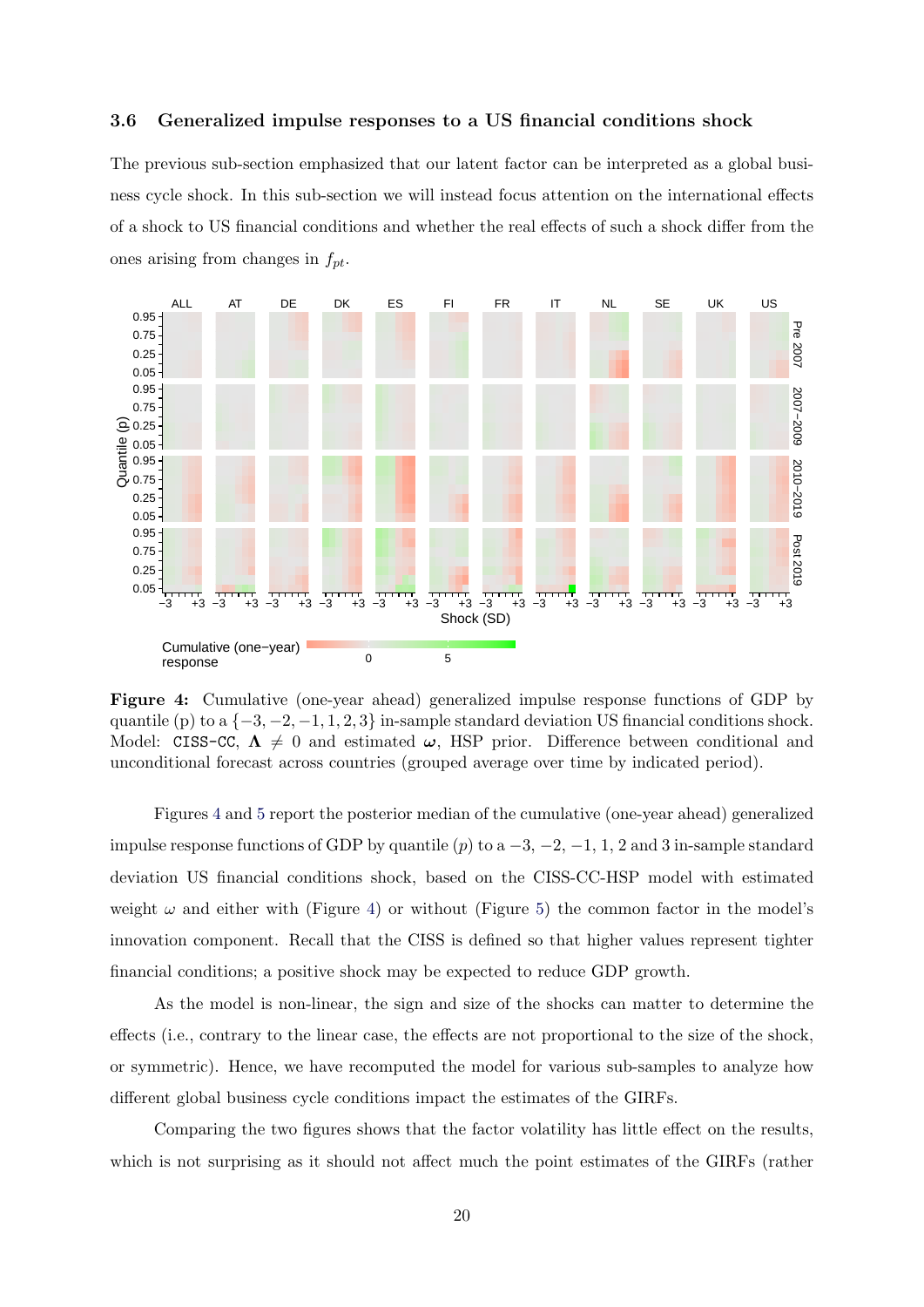#### 3.6 Generalized impulse responses to a US financial conditions shock

The previous sub-section emphasized that our latent factor can be interpreted as a global business cycle shock. In this sub-section we will instead focus attention on the international effects of a shock to US financial conditions and whether the real effects of such a shock differ from the ones arising from changes in  $f_{pt}$ .

<span id="page-19-0"></span>

Figure 4: Cumulative (one-year ahead) generalized impulse response functions of GDP by quantile (p) to a  $\{-3, -2, -1, 1, 2, 3\}$  in-sample standard deviation US financial conditions shock. Model: CISS-CC,  $\Lambda \neq 0$  and estimated  $\omega$ , HSP prior. Difference between conditional and unconditional forecast across countries (grouped average over time by indicated period).

Figures [4](#page-19-0) and [5](#page-20-0) report the posterior median of the cumulative (one-year ahead) generalized impulse response functions of GDP by quantile (p) to a  $-3$ ,  $-2$ ,  $-1$ , 1, 2 and 3 in-sample standard deviation US financial conditions shock, based on the CISS-CC-HSP model with estimated weight  $\omega$  and either with (Figure [4\)](#page-19-0) or without (Figure [5\)](#page-20-0) the common factor in the model's innovation component. Recall that the CISS is defined so that higher values represent tighter financial conditions; a positive shock may be expected to reduce GDP growth.

As the model is non-linear, the sign and size of the shocks can matter to determine the effects (i.e., contrary to the linear case, the effects are not proportional to the size of the shock, or symmetric). Hence, we have recomputed the model for various sub-samples to analyze how different global business cycle conditions impact the estimates of the GIRFs.

Comparing the two figures shows that the factor volatility has little effect on the results, which is not surprising as it should not affect much the point estimates of the GIRFs (rather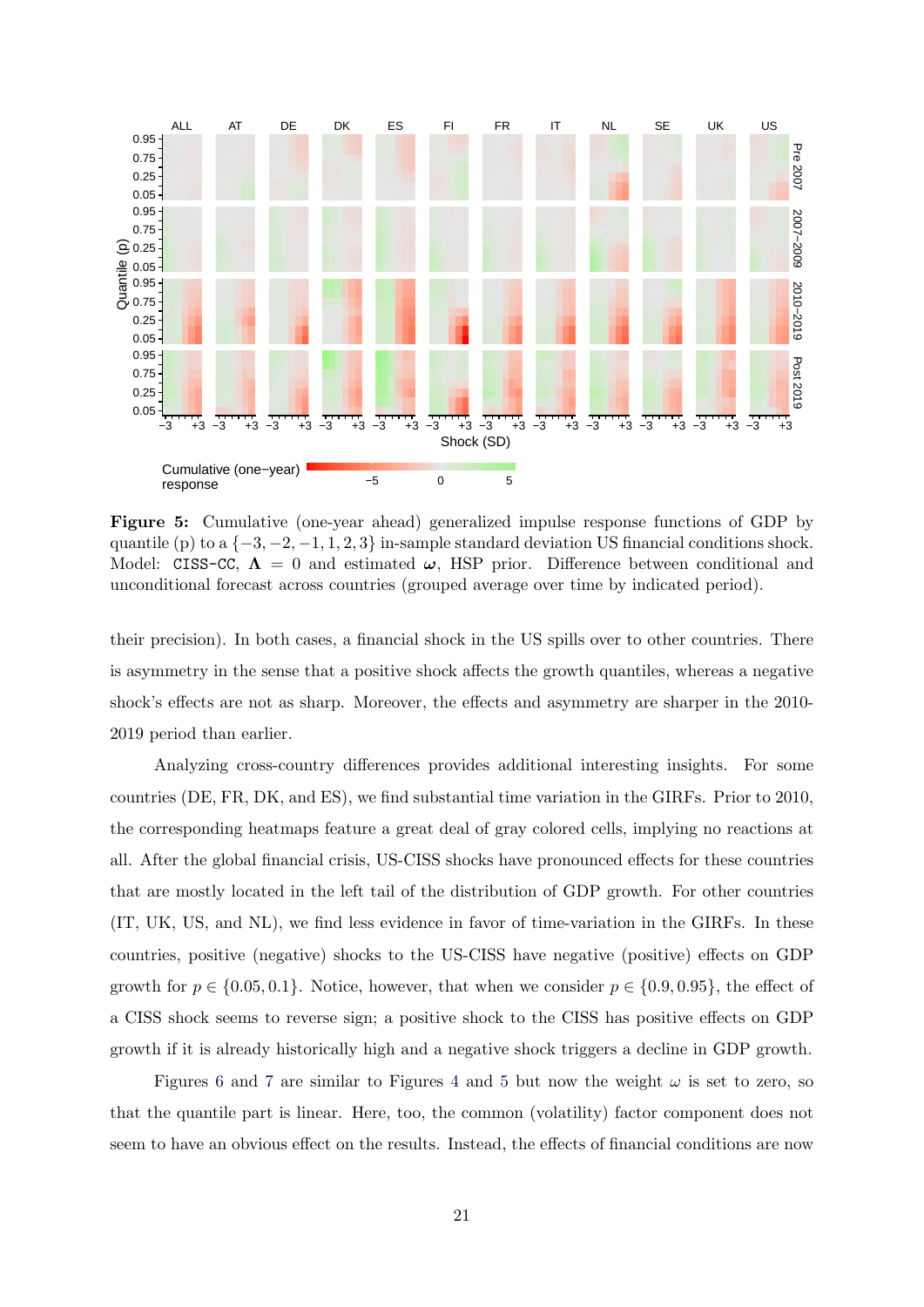<span id="page-20-0"></span>

Figure 5: Cumulative (one-year ahead) generalized impulse response functions of GDP by quantile (p) to a  $\{-3, -2, -1, 1, 2, 3\}$  in-sample standard deviation US financial conditions shock. Model: CISS-CC,  $\Lambda = 0$  and estimated  $\omega$ , HSP prior. Difference between conditional and unconditional forecast across countries (grouped average over time by indicated period).

their precision). In both cases, a financial shock in the US spills over to other countries. There is asymmetry in the sense that a positive shock affects the growth quantiles, whereas a negative shock's effects are not as sharp. Moreover, the effects and asymmetry are sharper in the 2010- 2019 period than earlier.

Analyzing cross-country differences provides additional interesting insights. For some countries (DE, FR, DK, and ES), we find substantial time variation in the GIRFs. Prior to 2010, the corresponding heatmaps feature a great deal of gray colored cells, implying no reactions at all. After the global financial crisis, US-CISS shocks have pronounced effects for these countries that are mostly located in the left tail of the distribution of GDP growth. For other countries (IT, UK, US, and NL), we find less evidence in favor of time-variation in the GIRFs. In these countries, positive (negative) shocks to the US-CISS have negative (positive) effects on GDP growth for  $p \in \{0.05, 0.1\}$ . Notice, however, that when we consider  $p \in \{0.9, 0.95\}$ , the effect of a CISS shock seems to reverse sign; a positive shock to the CISS has positive effects on GDP growth if it is already historically high and a negative shock triggers a decline in GDP growth.

Figures [6](#page-21-0) and [7](#page-21-1) are similar to Figures [4](#page-19-0) and [5](#page-20-0) but now the weight  $\omega$  is set to zero, so that the quantile part is linear. Here, too, the common (volatility) factor component does not seem to have an obvious effect on the results. Instead, the effects of financial conditions are now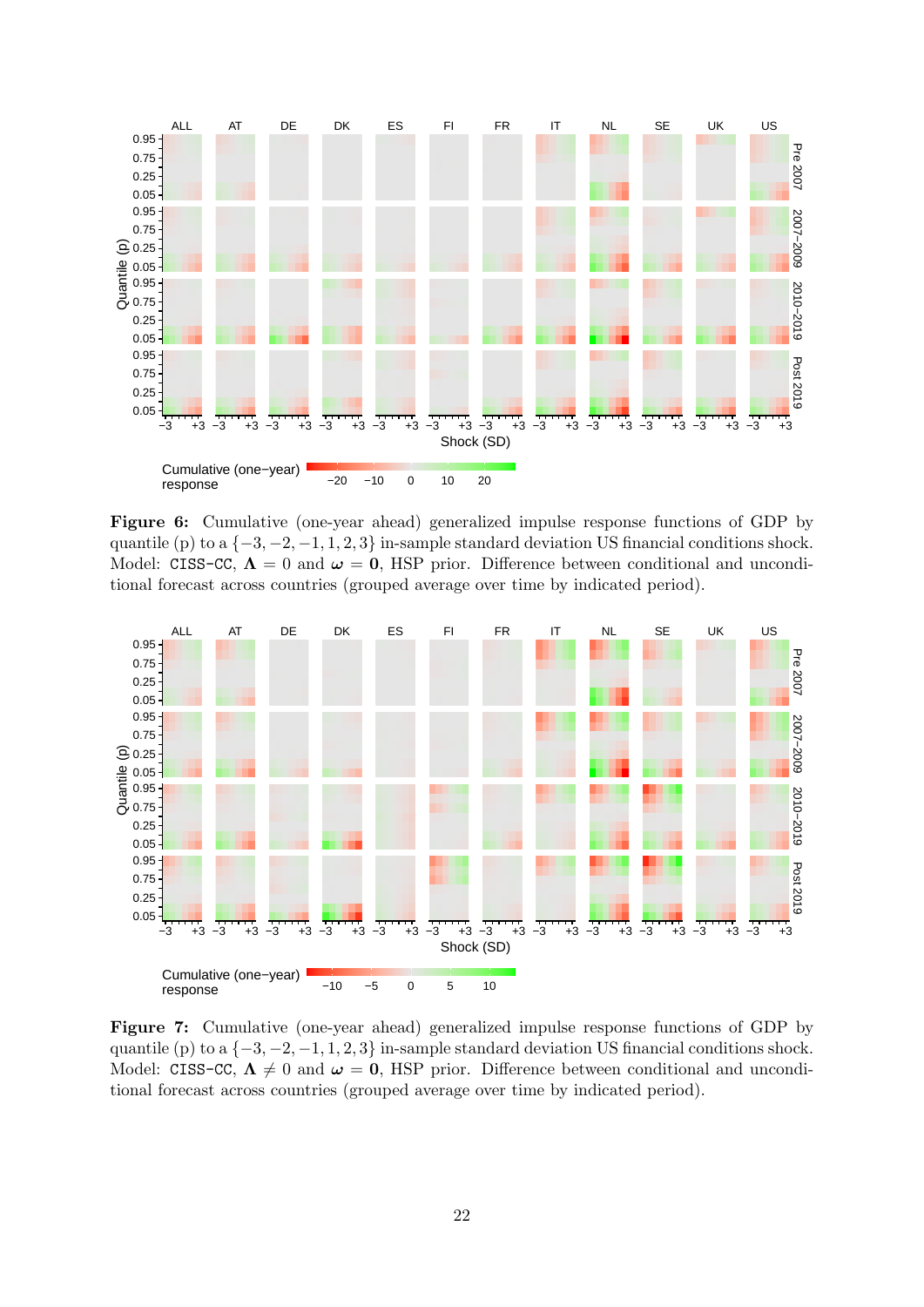<span id="page-21-0"></span>

Figure 6: Cumulative (one-year ahead) generalized impulse response functions of GDP by quantile (p) to a  $\{-3, -2, -1, 1, 2, 3\}$  in-sample standard deviation US financial conditions shock. Model: CISS-CC,  $\Lambda = 0$  and  $\omega = 0$ , HSP prior. Difference between conditional and unconditional forecast across countries (grouped average over time by indicated period).

<span id="page-21-1"></span>

Figure 7: Cumulative (one-year ahead) generalized impulse response functions of GDP by quantile (p) to a  $\{-3, -2, -1, 1, 2, 3\}$  in-sample standard deviation US financial conditions shock. Model: CISS-CC,  $\Lambda \neq 0$  and  $\omega = 0$ , HSP prior. Difference between conditional and unconditional forecast across countries (grouped average over time by indicated period).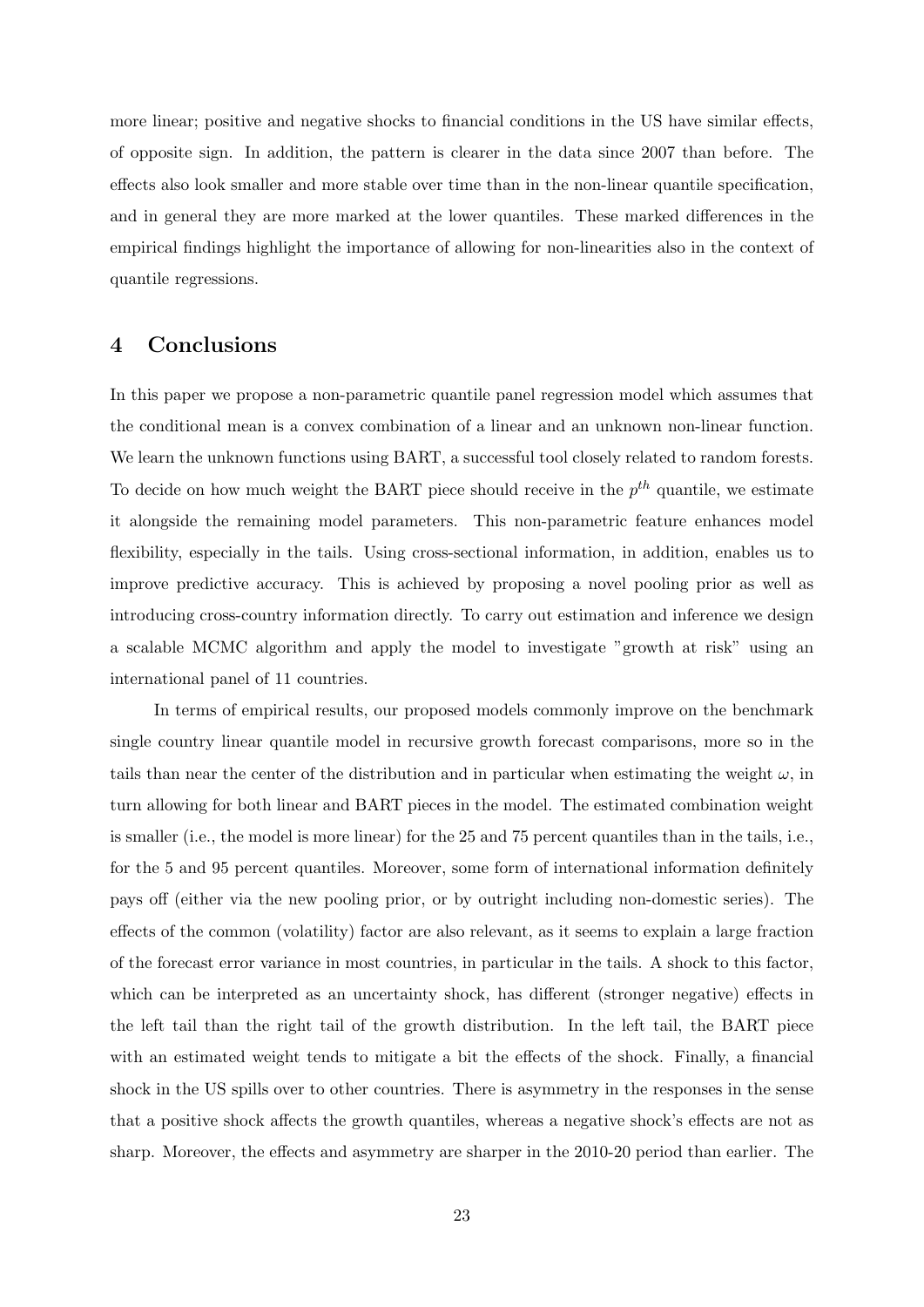more linear; positive and negative shocks to financial conditions in the US have similar effects, of opposite sign. In addition, the pattern is clearer in the data since 2007 than before. The effects also look smaller and more stable over time than in the non-linear quantile specification, and in general they are more marked at the lower quantiles. These marked differences in the empirical findings highlight the importance of allowing for non-linearities also in the context of quantile regressions.

## 4 Conclusions

In this paper we propose a non-parametric quantile panel regression model which assumes that the conditional mean is a convex combination of a linear and an unknown non-linear function. We learn the unknown functions using BART, a successful tool closely related to random forests. To decide on how much weight the BART piece should receive in the  $p^{th}$  quantile, we estimate it alongside the remaining model parameters. This non-parametric feature enhances model flexibility, especially in the tails. Using cross-sectional information, in addition, enables us to improve predictive accuracy. This is achieved by proposing a novel pooling prior as well as introducing cross-country information directly. To carry out estimation and inference we design a scalable MCMC algorithm and apply the model to investigate "growth at risk" using an international panel of 11 countries.

In terms of empirical results, our proposed models commonly improve on the benchmark single country linear quantile model in recursive growth forecast comparisons, more so in the tails than near the center of the distribution and in particular when estimating the weight  $\omega$ , in turn allowing for both linear and BART pieces in the model. The estimated combination weight is smaller (i.e., the model is more linear) for the 25 and 75 percent quantiles than in the tails, i.e., for the 5 and 95 percent quantiles. Moreover, some form of international information definitely pays off (either via the new pooling prior, or by outright including non-domestic series). The effects of the common (volatility) factor are also relevant, as it seems to explain a large fraction of the forecast error variance in most countries, in particular in the tails. A shock to this factor, which can be interpreted as an uncertainty shock, has different (stronger negative) effects in the left tail than the right tail of the growth distribution. In the left tail, the BART piece with an estimated weight tends to mitigate a bit the effects of the shock. Finally, a financial shock in the US spills over to other countries. There is asymmetry in the responses in the sense that a positive shock affects the growth quantiles, whereas a negative shock's effects are not as sharp. Moreover, the effects and asymmetry are sharper in the 2010-20 period than earlier. The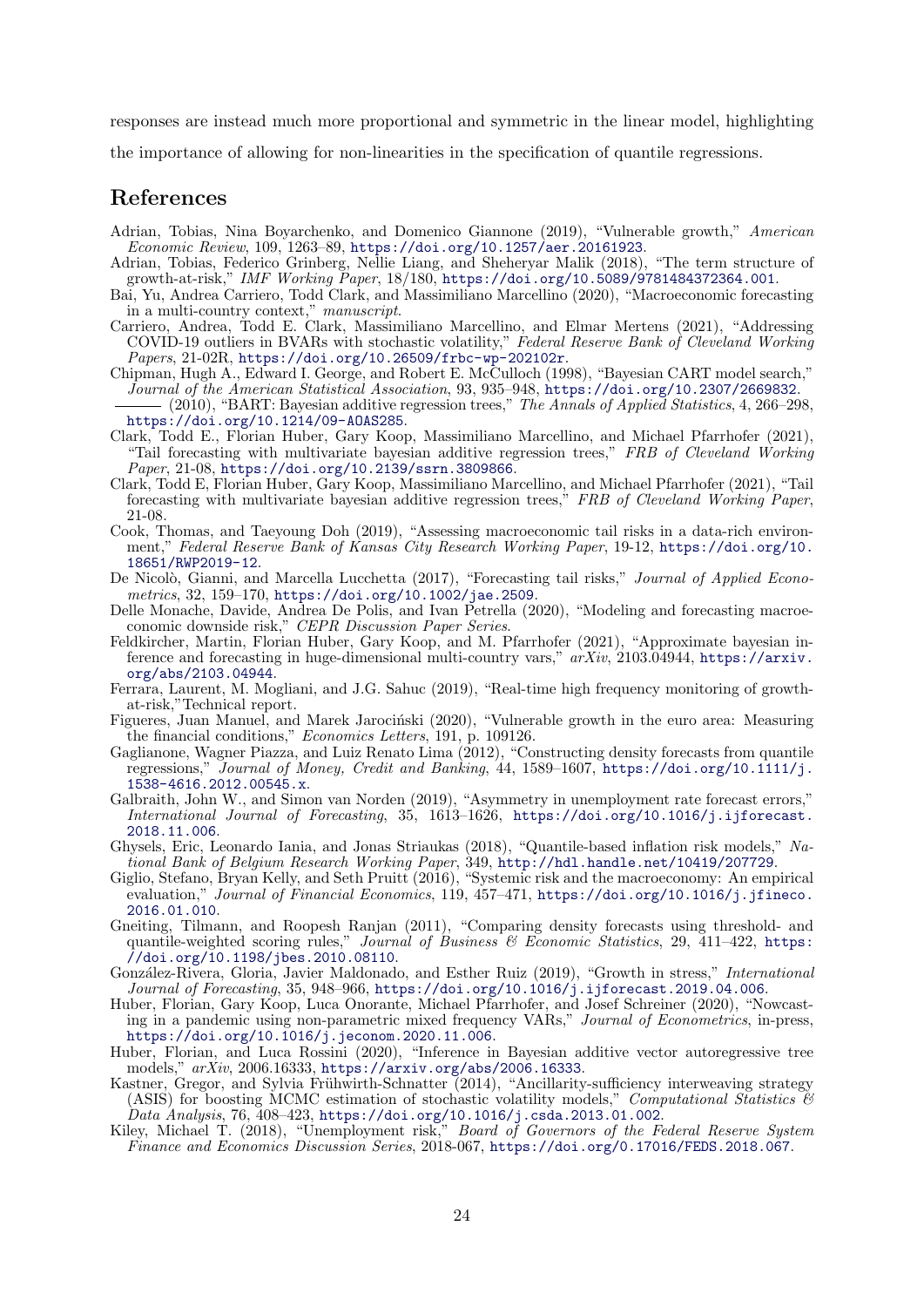responses are instead much more proportional and symmetric in the linear model, highlighting

the importance of allowing for non-linearities in the specification of quantile regressions.

## References

- <span id="page-23-0"></span>Adrian, Tobias, Nina Boyarchenko, and Domenico Giannone (2019), "Vulnerable growth," American Economic Review, 109, 1263–89, <https://doi.org/10.1257/aer.20161923>.
- <span id="page-23-1"></span>Adrian, Tobias, Federico Grinberg, Nellie Liang, and Sheheryar Malik (2018), "The term structure of growth-at-risk," IMF Working Paper, 18/180, <https://doi.org/10.5089/9781484372364.001>.
- <span id="page-23-15"></span>Bai, Yu, Andrea Carriero, Todd Clark, and Massimiliano Marcellino (2020), "Macroeconomic forecasting in a multi-country context," manuscript.
- <span id="page-23-17"></span>Carriero, Andrea, Todd E. Clark, Massimiliano Marcellino, and Elmar Mertens (2021), "Addressing COVID-19 outliers in BVARs with stochastic volatility," Federal Reserve Bank of Cleveland Working Papers, 21-02R, <https://doi.org/10.26509/frbc-wp-202102r>.
- <span id="page-23-21"></span>Chipman, Hugh A., Edward I. George, and Robert E. McCulloch (1998), "Bayesian CART model search," Journal of the American Statistical Association, 93, 935–948, <https://doi.org/10.2307/2669832>.
- <span id="page-23-18"></span> $(2010)$ , "BART: Bayesian additive regression trees," The Annals of Applied Statistics, 4, 266–298, <https://doi.org/10.1214/09-AOAS285>.
- <span id="page-23-14"></span>Clark, Todd E., Florian Huber, Gary Koop, Massimiliano Marcellino, and Michael Pfarrhofer (2021), "Tail forecasting with multivariate bayesian additive regression trees," FRB of Cleveland Working Paper, 21-08, <https://doi.org/10.2139/ssrn.3809866>.
- <span id="page-23-20"></span>Clark, Todd E, Florian Huber, Gary Koop, Massimiliano Marcellino, and Michael Pfarrhofer (2021), "Tail forecasting with multivariate bayesian additive regression trees," FRB of Cleveland Working Paper, 21-08.
- <span id="page-23-2"></span>Cook, Thomas, and Taeyoung Doh (2019), "Assessing macroeconomic tail risks in a data-rich environment," Federal Reserve Bank of Kansas City Research Working Paper, 19-12, [https://doi.org/10.](https://doi.org/10.18651/RWP2019-12) [18651/RWP2019-12](https://doi.org/10.18651/RWP2019-12).
- <span id="page-23-3"></span>De Nicolò, Gianni, and Marcella Lucchetta (2017), "Forecasting tail risks," Journal of Applied Econometrics, 32, 159–170, <https://doi.org/10.1002/jae.2509>.
- <span id="page-23-7"></span>Delle Monache, Davide, Andrea De Polis, and Ivan Petrella (2020), "Modeling and forecasting macroeconomic downside risk," CEPR Discussion Paper Series.
- <span id="page-23-16"></span>Feldkircher, Martin, Florian Huber, Gary Koop, and M. Pfarrhofer (2021), "Approximate bayesian inference and forecasting in huge-dimensional multi-country vars,"  $arXiv$ , 2103.04944, [https://arxiv.](https://arxiv.org/abs/2103.04944) [org/abs/2103.04944](https://arxiv.org/abs/2103.04944).
- <span id="page-23-4"></span>Ferrara, Laurent, M. Mogliani, and J.G. Sahuc (2019), "Real-time high frequency monitoring of growthat-risk,"Technical report.
- <span id="page-23-8"></span>Figueres, Juan Manuel, and Marek Jarociński (2020), "Vulnerable growth in the euro area: Measuring the financial conditions," Economics Letters, 191, p. 109126.
- <span id="page-23-12"></span>Gaglianone, Wagner Piazza, and Luiz Renato Lima (2012), "Constructing density forecasts from quantile regressions," Journal of Money, Credit and Banking, 44, 1589–1607, [https://doi.org/10.1111/j.](https://doi.org/10.1111/j.1538-4616.2012.00545.x) [1538-4616.2012.00545.x](https://doi.org/10.1111/j.1538-4616.2012.00545.x).
- <span id="page-23-9"></span>Galbraith, John W., and Simon van Norden (2019), "Asymmetry in unemployment rate forecast errors," International Journal of Forecasting, 35, 1613–1626, [https://doi.org/10.1016/j.ijforecast.](https://doi.org/10.1016/j.ijforecast.2018.11.006) [2018.11.006](https://doi.org/10.1016/j.ijforecast.2018.11.006).
- <span id="page-23-11"></span>Ghysels, Eric, Leonardo Iania, and Jonas Striaukas (2018), "Quantile-based inflation risk models," National Bank of Belgium Research Working Paper, 349, <http://hdl.handle.net/10419/207729>.
- <span id="page-23-5"></span>Giglio, Stefano, Bryan Kelly, and Seth Pruitt (2016), "Systemic risk and the macroeconomy: An empirical evaluation," Journal of Financial Economics, 119, 457-471, [https://doi.org/10.1016/j.jfineco.](https://doi.org/10.1016/j.jfineco.2016.01.010) [2016.01.010](https://doi.org/10.1016/j.jfineco.2016.01.010).
- <span id="page-23-23"></span>Gneiting, Tilmann, and Roopesh Ranjan (2011), "Comparing density forecasts using threshold- and quantile-weighted scoring rules," Journal of Business  $\mathscr B$  Economic Statistics, 29, 411–422, [https:](https://doi.org/10.1198/jbes.2010.08110) [//doi.org/10.1198/jbes.2010.08110](https://doi.org/10.1198/jbes.2010.08110).
- <span id="page-23-6"></span>González-Rivera, Gloria, Javier Maldonado, and Esther Ruiz (2019), "Growth in stress," International Journal of Forecasting, 35, 948–966, <https://doi.org/10.1016/j.ijforecast.2019.04.006>.
- <span id="page-23-13"></span>Huber, Florian, Gary Koop, Luca Onorante, Michael Pfarrhofer, and Josef Schreiner (2020), "Nowcasting in a pandemic using non-parametric mixed frequency VARs," Journal of Econometrics, in-press, <https://doi.org/10.1016/j.jeconom.2020.11.006>.
- <span id="page-23-19"></span>Huber, Florian, and Luca Rossini (2020), "Inference in Bayesian additive vector autoregressive tree models," arXiv, 2006.16333, <https://arxiv.org/abs/2006.16333>.
- <span id="page-23-22"></span>Kastner, Gregor, and Sylvia Frühwirth-Schnatter  $(2014)$ , "Ancillarity-sufficiency interweaving strategy (ASIS) for boosting MCMC estimation of stochastic volatility models," Computational Statistics  $\mathcal{C}$  $Data\ Analysis, \ 76, \ 408-423, \ \text{https://doi.org/10.1016/j.csda.2013.01.002}.$  $Data\ Analysis, \ 76, \ 408-423, \ \text{https://doi.org/10.1016/j.csda.2013.01.002}.$  $Data\ Analysis, \ 76, \ 408-423, \ \text{https://doi.org/10.1016/j.csda.2013.01.002}.$
- <span id="page-23-10"></span>Kiley, Michael T. (2018), "Unemployment risk," Board of Governors of the Federal Reserve System Finance and Economics Discussion Series, 2018-067, <https://doi.org/0.17016/FEDS.2018.067>.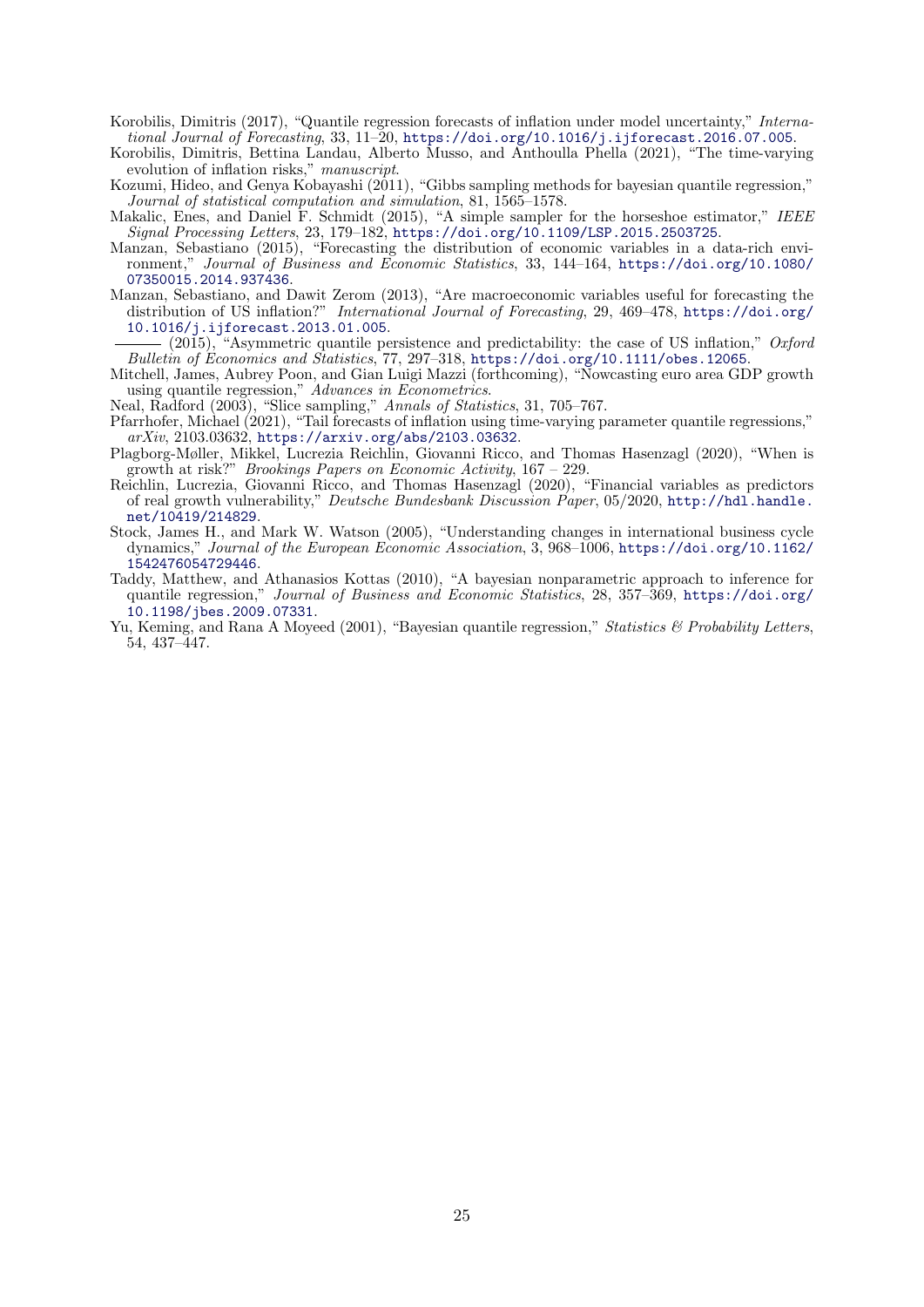<span id="page-24-4"></span>Korobilis, Dimitris (2017), "Quantile regression forecasts of inflation under model uncertainty," International Journal of Forecasting, 33, 11–20, <https://doi.org/10.1016/j.ijforecast.2016.07.005>.

- <span id="page-24-7"></span>Korobilis, Dimitris, Bettina Landau, Alberto Musso, and Anthoulla Phella (2021), "The time-varying evolution of inflation risks," manuscript.
- <span id="page-24-11"></span>Kozumi, Hideo, and Genya Kobayashi (2011), "Gibbs sampling methods for bayesian quantile regression," Journal of statistical computation and simulation, 81, 1565–1578.
- <span id="page-24-13"></span>Makalic, Enes, and Daniel F. Schmidt (2015), "A simple sampler for the horseshoe estimator," IEEE Signal Processing Letters, 23, 179–182, <https://doi.org/10.1109/LSP.2015.2503725>.
- <span id="page-24-3"></span>Manzan, Sebastiano (2015), "Forecasting the distribution of economic variables in a data-rich environment," Journal of Business and Economic Statistics, 33, 144–164, [https://doi.org/10.1080/](https://doi.org/10.1080/07350015.2014.937436) [07350015.2014.937436](https://doi.org/10.1080/07350015.2014.937436).
- <span id="page-24-5"></span>Manzan, Sebastiano, and Dawit Zerom (2013), "Are macroeconomic variables useful for forecasting the distribution of US inflation?" International Journal of Forecasting, 29, 469-478, [https://doi.org/](https://doi.org/10.1016/j.ijforecast.2013.01.005) [10.1016/j.ijforecast.2013.01.005](https://doi.org/10.1016/j.ijforecast.2013.01.005).
- <span id="page-24-6"></span>(2015), "Asymmetric quantile persistence and predictability: the case of US inflation,"  $Oxford$ Bulletin of Economics and Statistics, 77, 297–318, <https://doi.org/10.1111/obes.12065>.
- <span id="page-24-2"></span>Mitchell, James, Aubrey Poon, and Gian Luigi Mazzi (forthcoming), "Nowcasting euro area GDP growth using quantile regression," Advances in Econometrics.
- <span id="page-24-12"></span>Neal, Radford (2003), "Slice sampling," Annals of Statistics, 31, 705–767.
- <span id="page-24-8"></span>Pfarrhofer, Michael (2021), "Tail forecasts of inflation using time-varying parameter quantile regressions,"  $arXiv$ , 2103.03632, <https://arxiv.org/abs/2103.03632>.
- <span id="page-24-0"></span>Plagborg-Møller, Mikkel, Lucrezia Reichlin, Giovanni Ricco, and Thomas Hasenzagl (2020), "When is growth at risk?" Brookings Papers on Economic Activity, 167 – 229.
- <span id="page-24-1"></span>Reichlin, Lucrezia, Giovanni Ricco, and Thomas Hasenzagl (2020), "Financial variables as predictors of real growth vulnerability," Deutsche Bundesbank Discussion Paper, 05/2020, [http://hdl.handle.](http://hdl.handle.net/10419/214829) [net/10419/214829](http://hdl.handle.net/10419/214829).
- <span id="page-24-14"></span>Stock, James H., and Mark W. Watson (2005), "Understanding changes in international business cycle dynamics," Journal of the European Economic Association, 3, 968–1006, [https://doi.org/10.1162/](https://doi.org/10.1162/1542476054729446) [1542476054729446](https://doi.org/10.1162/1542476054729446).
- <span id="page-24-9"></span>Taddy, Matthew, and Athanasios Kottas (2010), "A bayesian nonparametric approach to inference for quantile regression," Journal of Business and Economic Statistics, 28, 357–369, [https://doi.org/](https://doi.org/10.1198/jbes.2009.07331) [10.1198/jbes.2009.07331](https://doi.org/10.1198/jbes.2009.07331).
- <span id="page-24-10"></span>Yu, Keming, and Rana A Moyeed (2001), "Bayesian quantile regression," Statistics & Probability Letters, 54, 437–447.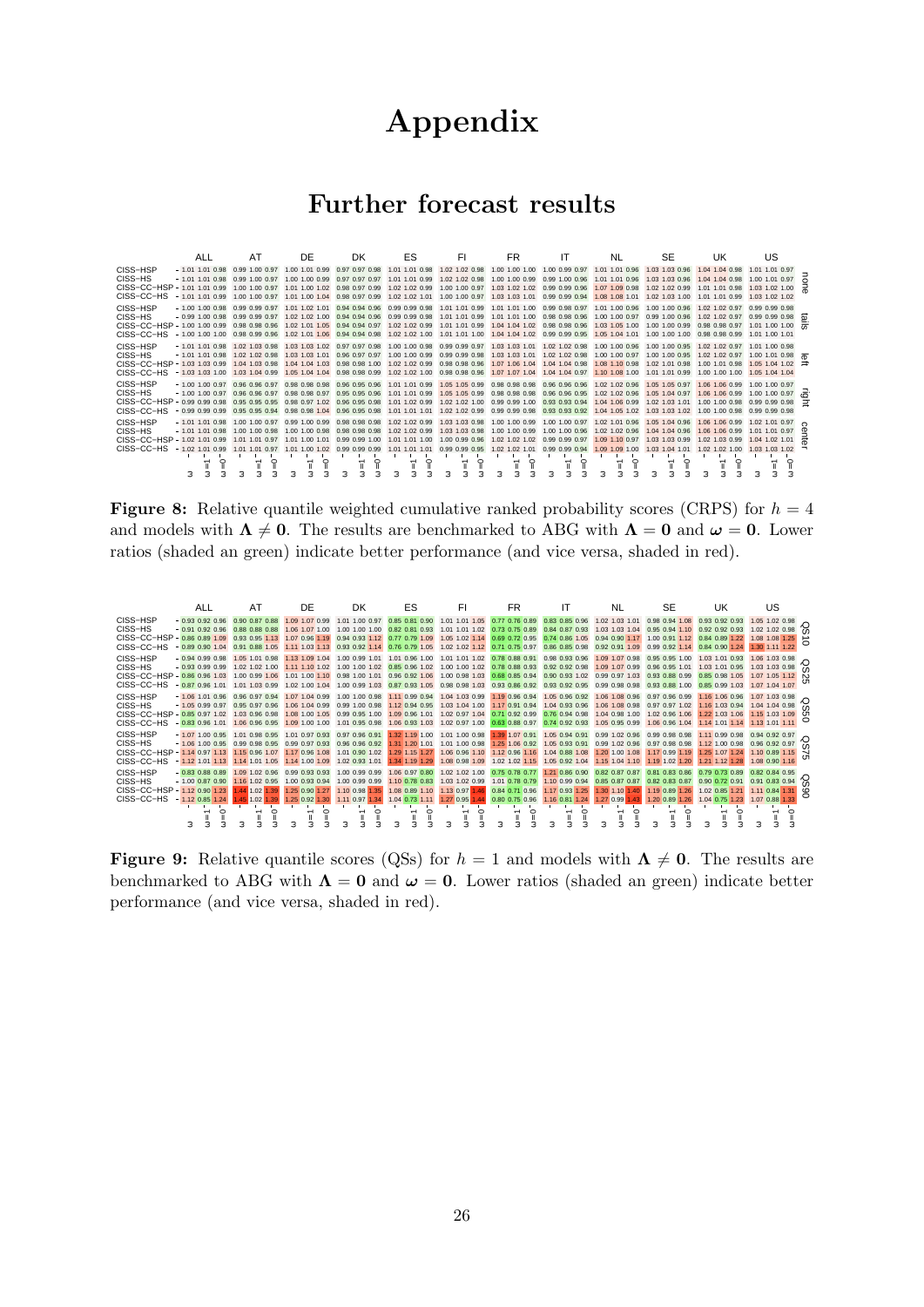# Appendix

## Further forecast results

|                                   | ALL                                                                                                                                      | AT                                                                           | DE                                                                                                 | DK.                                                                                                                                             | ES                                                                                 | FI                                                                                              | FR                                                                                                                                                                                           | ΙT                                                 | NL                                                                                                                | <b>SE</b>                                                                           | UK                                                                   | US.                                                                                                           |  |
|-----------------------------------|------------------------------------------------------------------------------------------------------------------------------------------|------------------------------------------------------------------------------|----------------------------------------------------------------------------------------------------|-------------------------------------------------------------------------------------------------------------------------------------------------|------------------------------------------------------------------------------------|-------------------------------------------------------------------------------------------------|----------------------------------------------------------------------------------------------------------------------------------------------------------------------------------------------|----------------------------------------------------|-------------------------------------------------------------------------------------------------------------------|-------------------------------------------------------------------------------------|----------------------------------------------------------------------|---------------------------------------------------------------------------------------------------------------|--|
| CISS-HSP<br>CISS-HS<br>CISS-CC-HS | $-1.01$ 1.01 0.98<br>$-1.01$ 1.01 0.98<br>CISS-CC-HSP - 1.01 1.01 0.99<br>$-1.01$ 1.01 0.99                                              | 0.99 1.00 0.97<br>0.99 1.00 0.97<br>1.00 1.00 0.97<br>1.00 1.00 0.97         | 1.00 1.01 0.99<br>1.00 1.00 0.99<br>1.01 1.00 1.02                                                 | 0.97 0.97 0.98<br>0.97 0.97 0.97<br>0.98 0.97 0.99<br>1.01 1.00 1.04 0.98 0.97 0.99                                                             | 1.01 1.01 0.98<br>1.01 0.99<br>1 <sub>01</sub><br>1.02 1.02 0.99<br>1.02 1.02 1.01 | 1.02 1.02 0.98<br>1.02 1.02 0.98<br>1.00 1.00 0.97<br>1.00 1.00 0.97                            | 1.00 1.00 1.00 1.00 0.99 0.97<br>1.00 1.00 0.99<br>1.03 1.02 1.02 0.99 0.99 0.96<br>1.03 1.03 1.01                                                                                           | 0.99 1.00 0.96<br>0.99 0.99 0.94                   | 1.01 1.01 0.96<br>1.01 1.01 0.96<br>1.07 1.09 0.98<br>1.08 1.08 1.01                                              | 1.03 1.03 0.96<br>1.03 1.03 0.96<br>1.02 1.02 0.99<br>1.02 1.03 1.00                | 1.04 1.04 0.98<br>1.04 1.04 0.98<br>1.01 1.01 0.98<br>1.01 1.01 0.99 | 1.01 1.01 0.97<br>1.00 1.01 0.97<br>1.03 1.02 1.00<br>1.03 1.02 1.02                                          |  |
| CISS-HSP<br>CISS-HS<br>CISS-CC-HS | $-1.00$ 1.00 0.98<br>$-0.99$ 1.00 0.98<br>CISS-CC-HSP - 1.00 1.00 0.99<br>$-1.00$ 1.00 1.00                                              | 0.99 0.99 0.97<br>0.99 0.99 0.97<br>0.98 0.98 0.96<br>0.98 0.99 0.96         | 1.01 1.02 1.01                                                                                     | 0.94 0.94 0.96<br>1.02 1.02 1.00 0.94 0.94 0.96 0.99 0.99 0.98 1.01 1.01 0.99<br>1.02 1.01 1.05 0.94 0.94 0.97<br>1.02 1.01 1.06 0.94 0.94 0.98 | 0.99 0.99 0.98<br>1.02 1.02 1.00                                                   | 1.01 1.01 0.99<br>1.01 1.01 1.00                                                                | 1.01 1.01 1.00 0.99 0.98 0.97<br>1.01 1.01 1.00 0.98 0.98 0.96<br>1.02 1.02 0.99 1.01 1.01 0.99 1.04 1.04 1.02 0.98 0.98 0.96<br>1.04 1.04 1.02 0.99 0.99 0.95                               |                                                    | 1.01 1.00 0.96<br>1.00 1.00 0.97<br>1.03 1.05 1.00                                                                | 1.00 1.00 0.96<br>0.99 1.00 0.96<br>1.00 1.00 0.99<br>1.05 1.04 1.01 1.00 1.00 1.00 | 1.02 1.02 0.97<br>1.02 1.02 0.97<br>0.98 0.98 0.99                   | 0.99 0.99 0.98<br>0.99, 0.99, 0.98, 0.97<br>$0.98$ 0.98 0.97 1.01 1.00 1.00 $\overline{70}$<br>1.01 1.00 1.01 |  |
| CISS-HSP<br>CISS-HS<br>CISS-CC-HS | $-1.01$ 1.01 0.98 1.02 1.03 0.98<br>$-1.01$ 1.01 0.98 1.02 1.02 0.98<br>CISS-CC-HSP - 1.03 1.03 0.99 1.04 1.03 0.98<br>$-1.03$ 1.03 1.00 | 1.03 1.04 0.99                                                               | 1.03 1.03 1.01<br>1.05 1.04 1.04                                                                   | 1.03 1.03 1.02 0.97 0.97 0.98<br>0.96 0.97 0.97<br>1.04 1.04 1.03 0.98 0.98 1.00<br>0.98 0.98 0.99                                              |                                                                                    | 1.00 1.00 0.99 0.99 0.99 0.98<br>1.02 1.02 0.99 0.98 0.98 0.96<br>1.02 1.02 1.00 0.98 0.98 0.96 | 1.00 1.00 0.98 0.99 0.99 0.97 1.03 1.03 1.01 1.02 1.02 0.98<br>1.03 1.03 1.01<br>1.07 1.06 1.04<br>1.07 1.07 1.04                                                                            | 1.02 1.02 0.98<br>1.04 1.04 0.98<br>1.04 1.04 0.97 | 1.00 1.00 0.96<br>1.00 1.00 0.97<br>1.08 1.10 0.98<br>1.10 1.08 1.00                                              | 1.00 1.00 0.95 1.02 1.02 0.97<br>1.00 1.00 0.95<br>1.02 1.01 0.98<br>1.01 1.01 0.99 | 1.02 1.02 0.97<br>1.00 1.01 0.98<br>1.00 1.00 1.00                   | 1.01 1.00 0.98<br>1.00 1.01 0.98<br>1.05 1.04 1.02<br>1.05 1.04 1.04                                          |  |
| CISS-HSP<br>CISS-HS<br>CISS-CC-HS | $-1.00$ 1.00 0.97<br>$-1.00$ 1.00 0.97<br>CISS-CC-HSP - 0.99 0.99 0.98<br>$-0.9900.99099$                                                | 0.96 0.96 0.97<br>0.96 0.96 0.97<br>0.95 0.95 0.95<br>0.95 0.95 0.94         | 0.98 0.98 0.98 0.96 0.95 0.96<br>0.98 0.98 0.97<br>0.98 0.97 1.02 0.96 0.95 0.98<br>0.98 0.98 1.04 | 0.95 0.95 0.96<br>0.96 0.95 0.98                                                                                                                | 1.01 1.01 0.99<br>1.01 1.01 1.01                                                   | 1.02 1.02 0.99                                                                                  | 1.01 1.01 0.99 1.05 1.05 0.99 0.98 0.98 0.98 0.96 0.96 0.96<br>1.05 1.05 0.99 0.98 0.98 0.98 0.96 0.96 0.95<br>1.01 1.02 0.99 1.02 1.02 1.00 0.99 0.99 1.00 0.93 0.93 0.94<br>0.99 0.99 0.98 | 0.93 0.93 0.92                                     | 1.02 1.02 0.96<br>1.02 1.02 0.96<br>1.04 1.06 0.99<br>1.04 1.05 1.02 1.03 1.03 1.02 1.00 1.00 0.98                | 1.05 1.05 0.97 1.06 1.06 0.99<br>1.05 1.04 0.97<br>1.02 1.03 1.01 1.00 1.00 0.98    | 1.06 1.06 0.99                                                       | 1.00 1.00 0.97<br>1.00 1.00 0.97<br>0.99 0.99 0.98<br>0.99 0.99 0.98                                          |  |
| CISS-HSP<br>CISS-HS<br>CISS-CC-HS | $-1.01$ 1.01 0.98<br>$-1.01$ 1.01 0.98<br>CISS-CC-HSP - 1.02 1.01 0.99<br>$-1.02$ 1.01 0.99<br>◠<br>з                                    | 1.00 1.00 0.97<br>1.00 1.00 0.98<br>1.01 1.01 0.97<br>1.01 1.01<br>0.97<br>◠ | 1.00 1.00 0.98<br>1.01 1.00 1.01<br>1.01 1.00 1.02<br>◠                                            | 0.99 1.00 0.99 0.98 0.98 0.98<br>0.98 0.98 0.98<br>0.99 0.99 1.00<br>0.99 0.99 0.99<br>◠                                                        | 1.02 1.02 0.99<br>1.01 1.01 1.00<br>1.01<br>1.01<br>1.01<br>ິ                      | 1.03 1.03 0.98<br>1.00 0.99 0.96<br>0.99 0.99 0.95<br>◠                                         | 1.02 1.02 0.99 1.03 1.03 0.98 1.00 1.00 0.99<br>1.00 1.00 0.99<br>1.02 1.02 1.02 0.99 0.99 0.97<br>1.02 1.02 1.01<br>⌒<br>Ξ                                                                  | 1.00 1.00 0.96<br>0.99 0.99 0.94<br>◠<br>э         | 1.00 1.00 0.97 1.02 1.01 0.96 1.05 1.04 0.96 1.06 1.06 0.99<br>1.02 1.02 0.96<br>1.09 1.10 0.97<br>1.09 1.09 1.00 | 1.04 1.04 0.96<br>1.03 1.03 0.99<br>1.03 1.04 1.01<br>⌒<br>з                        | 1.06 1.06 0.99<br>1.02 1.03 0.99<br>1.02 1.02 1.00<br>◠              | 1.02 1.01 0.97<br>1.01 1.01 0.97<br>1.04 1.02 1.01<br>1.03 1.03 1.02<br>⌒<br>э<br>∍                           |  |

**Figure 8:** Relative quantile weighted cumulative ranked probability scores (CRPS) for  $h = 4$ and models with  $\Lambda \neq 0$ . The results are benchmarked to ABG with  $\Lambda = 0$  and  $\omega = 0$ . Lower ratios (shaded an green) indicate better performance (and vice versa, shaded in red).

|                                                                                                                                                                                                | <b>ALL</b>                                                                                                                                                                                                                      | AT             | DE                                  | DK                                              | ES                       | FI                                                             | FR.                                                                                                      |                               | NL                                              | <b>SE</b> | UK                                                                                                                                                                                                                   | US                                                                     |   |
|------------------------------------------------------------------------------------------------------------------------------------------------------------------------------------------------|---------------------------------------------------------------------------------------------------------------------------------------------------------------------------------------------------------------------------------|----------------|-------------------------------------|-------------------------------------------------|--------------------------|----------------------------------------------------------------|----------------------------------------------------------------------------------------------------------|-------------------------------|-------------------------------------------------|-----------|----------------------------------------------------------------------------------------------------------------------------------------------------------------------------------------------------------------------|------------------------------------------------------------------------|---|
| CISS-HSP<br>CISS-HS                                                                                                                                                                            | $-0.93$ 0.92 0.96<br>$-0.91$ 0.92 0.96 0.88 0.88 0.88 1.06 1.07 1.00 1.00 1.00 1.00                                                                                                                                             | 0.90 0.87 0.88 | 1.09 1.07 0.99                      | 1.01 1.00 0.97                                  |                          |                                                                |                                                                                                          |                               |                                                 |           | 0.85 0.81 0.90 1.01 1.01 1.05 0.77 0.76 0.89 0.83 0.85 0.96 1.02 1.03 1.01 0.98 0.94 1.08 0.93 0.92 0.93<br>0.82 0.81 0.93 1.01 1.01 1.02 0.73 0.75 0.89 0.84 0.87 0.93 1.03 1.03 1.04 0.95 0.94 1.10 0.92 0.92 0.93 | 1.05 1.02 0.98<br>1.02 1.02 0.98                                       |   |
| CISS-CC-HSP - 0.86 0.89 1.09 0.93 0.95 1.13                                                                                                                                                    |                                                                                                                                                                                                                                 |                |                                     | 1.07 0.96 1.19 0.94 0.93 1.12                   |                          |                                                                |                                                                                                          |                               |                                                 |           | 0.77 0.79 1.09 1.05 1.02 1.14 0.69 0.72 0.95 0.74 0.86 1.05 0.94 0.90 1.17 1.00 0.91 1.12 0.84 0.89 1.22                                                                                                             | 1.08 1.08 1.25                                                         |   |
| CISS-CC-HS                                                                                                                                                                                     | $-0.89$ 0.90 1.04 0.91 0.88 1.05                                                                                                                                                                                                |                |                                     | 1.11 1.03 1.13 0.93 0.92 1.14                   |                          |                                                                | 0.76 0.79 1.05 1.02 1.02 1.12 0.71 0.75 0.97 0.86 0.85 0.98 0.92 0.91 1.09 0.99 0.92 1.14 0.84 0.90 1.24 |                               |                                                 |           |                                                                                                                                                                                                                      | 1.30 1.11 1.22                                                         |   |
| CISS-HSP<br>CISS-HS                                                                                                                                                                            | $-0.94$ 0.99 0.98 1.05 1.01 0.98                                                                                                                                                                                                |                |                                     |                                                 |                          |                                                                |                                                                                                          |                               |                                                 |           | 1.03 1.04 1.00 0.99 1.01 1.01 0.96 1.00 1.01 1.01 1.02 0.78 0.88 0.91 0.98 0.93 0.96 1.09 1.07 0.98 0.95 0.95 1.00 1.03 1.01 0.93 1.06 1.03 0.98                                                                     | $1.06$ $1.03$ $0.98$ $\bigodot$                                        |   |
| CISS-CC-HSP - 0.86 0.96 1.03 1.00 0.99 1.06 1.01 1.00 1.10 0.98 1.00 1.01 0.96 0.92 1.06 1.00 0.98 1.03 0.68 0.84 0.90 0.94 1.02 0.99 0.97 1.03 0.93 0.88 0.99 0.85 0.98 1.05 1.07 1.05 1.12 N |                                                                                                                                                                                                                                 |                |                                     |                                                 |                          |                                                                |                                                                                                          |                               |                                                 |           |                                                                                                                                                                                                                      |                                                                        |   |
| CISS-CC-HS                                                                                                                                                                                     | $-0.87$ 0.96 1.01 1.01 1.03 0.99                                                                                                                                                                                                |                |                                     |                                                 |                          |                                                                |                                                                                                          |                               |                                                 |           | 1.02 1.00 1.04 1.00 0.99 1.03 0.87 0.93 1.05 0.98 0.98 1.03 0.93 0.86 0.92 0.93 0.92 0.95 0.99 0.98 0.98 0.98 0.93 0.88 1.00 0.85 0.99 1.03 1.07 1.04 1.07                                                           |                                                                        |   |
| CISS-HSP                                                                                                                                                                                       | 4 1.06 1.01 0.96 0.96 0.97 0.94 1.07 1.03 0.96 1.01 0.09 0.94 1.04 1.03 0.96 0.91 0.6 0.96 0.92 0.96 0.97 0.96 0.99 1.16 1.06 0.96 0.97 0.96 0.97 0.96 0.99 1.06 1.07 1.03 0.96 0.97 0.96 0.97 0.96 0.97 0.96 0.97 0.96 0.97 0. |                |                                     |                                                 |                          |                                                                |                                                                                                          |                               |                                                 |           |                                                                                                                                                                                                                      |                                                                        |   |
| CISS-HS<br>CISS-CC-HSP - 0.85 0.97 1.02 1.03 0.96 0.98                                                                                                                                         |                                                                                                                                                                                                                                 |                |                                     | 1.08 1.00 1.05 0.99 0.95 1.00                   |                          |                                                                | 1.09 0.96 1.01 1.02 0.97 1.04 0.71 0.92 0.99 0.76 0.94 0.98 1.04 0.98 1.00 1.02 0.96 1.06 1.22 1.03 1.06 |                               |                                                 |           |                                                                                                                                                                                                                      | 1.15 1.03 1.09 01                                                      |   |
| CISS-CC-HS                                                                                                                                                                                     | $-0.83$ 0.96 1.01                                                                                                                                                                                                               | 1.06 0.96 0.95 |                                     | 1.09 1.00 1.00 1.01 0.95 0.98                   |                          |                                                                |                                                                                                          |                               |                                                 |           | 1.06 0.93 1.03 1.02 0.97 1.00 0.63 0.88 0.97 0.74 0.92 0.93 1.05 0.95 0.99 1.06 0.96 1.04 1.14 1.01 1.14 1.13 1.01 1.11                                                                                              |                                                                        |   |
| CISS-HSP                                                                                                                                                                                       | $-1.07$ 1.00 0.95 1.01 0.98 0.95 1.01 0.97 0.93 0.97 0.96 0.91                                                                                                                                                                  |                |                                     |                                                 |                          |                                                                |                                                                                                          |                               |                                                 |           | 1.32 1.19 1.00 1.01 1.00 0.98 1.39 1.07 0.91 1.05 0.94 0.91 0.99 1.02 0.96 0.99 0.98 0.98 1.11 0.99 0.98 0.94 0.92 0.97                                                                                              |                                                                        |   |
| CISS-HS<br>CISS-CC-HSP - 1.14 0.97 1.13 1.15 0.96 1.07 1.17 0.96 1.08 1.01 0.90 1.02                                                                                                           | $-1.06$ 1.00 0.95 0.99 0.98 0.95 0.99 0.97 0.93 0.96 0.96 0.92                                                                                                                                                                  |                |                                     |                                                 |                          |                                                                | 1.29 1.15 1.27 1.06 0.96 1.10 1.12 0.96 1.16 1.04 0.88 1.08                                              |                               |                                                 |           | 1.31 1.20 1.01 1.01 1.00 0.98 1.25 1.06 0.92 1.05 0.93 0.91 0.99 1.02 0.96 0.97 0.98 0.98 1.12 1.00 0.98<br>1.20 1.00 1.08 1.17 0.99 1.19 1.25 1.07 1.24                                                             | $0.94$ $0.92$ $0.97$<br>0.96 0.92 0.97<br>1.10 0.89 1.15 $\rightarrow$ |   |
| CISS-CC-HS                                                                                                                                                                                     | $-1.12$ 1.01 1.13 1.14 1.01 1.05 1.14 1.00 1.09 1.02 0.93 1.01                                                                                                                                                                  |                |                                     |                                                 | 1.34 1.19 1.29           |                                                                |                                                                                                          |                               |                                                 |           | 1.08 0.98 1.09 1.02 1.02 1.15 1.05 0.92 1.04 1.15 1.04 1.10 1.19 1.02 1.20 1.21 1.12 1.28                                                                                                                            | 1.08 0.90 1.16                                                         | o |
| CISS-HSP                                                                                                                                                                                       | $-0.83, 0.88, 0.89, 1.09, 1.02, 0.96, 0.99, 0.93, 0.93, 1.00, 0.99, 0.99,$                                                                                                                                                      |                |                                     |                                                 | 1.06.0.97.0.80           |                                                                | 1.02 1.02 1.00 0.75 0.78 0.77 1.21 0.86 0.90 0.82 0.87 0.87                                              |                               |                                                 |           | 0.81 0.83 0.86 0.79 0.73 0.89                                                                                                                                                                                        | 0.82 0.84 0.95                                                         |   |
| CISS-HS                                                                                                                                                                                        | $-1.00$ 0.87 0.90 1.16 1.02 0.95                                                                                                                                                                                                |                |                                     | 1.00 0.93 0.94 1.00 0.99 0.99                   |                          |                                                                |                                                                                                          |                               |                                                 |           | 1.10 0.78 0.83 1.03 1.02 0.99 1.01 0.78 0.79 1.10 0.99 0.94 0.85 0.87 0.87 0.82 0.83 0.87 0.90 0.72 0.91                                                                                                             | 0.91 0.83 0.94                                                         |   |
| CISS-CC-HSP - 1.12 0.90 1.23 1.44 1.02 1.39<br>CISS-CC-HS                                                                                                                                      | $-1.12$ 0.85 1.24 1.45 1.02 1.39                                                                                                                                                                                                |                | 1.25 0.90 1.27                      | 1.10 0.98 1.35<br>1.25 0.92 1.30 1.11 0.97 1.34 |                          | 1.08 0.89 1.10 1.13 0.97 1.46<br>1.04 0.73 1.11 1.27 0.95 1.44 | 0.80 0.75 0.96 1.16 0.81 1.24                                                                            | 0.84 0.71 0.96 1.17 0.93 1.25 | 1.30 1.10 1.40 1.19 0.89 1.26<br>1.27 0.99 1.43 |           | 1.02 0.85 1.21<br>1.20 0.89 1.26 1.04 0.75 1.23                                                                                                                                                                      | 1.11 0.84 1.31 0<br>1.07 0.88 1.33                                     |   |
|                                                                                                                                                                                                | ⌒                                                                                                                                                                                                                               |                |                                     | ⌒                                               | $\overline{\phantom{0}}$ | $\overline{\phantom{a}}$                                       | $\circ$<br>$\overline{ }$                                                                                |                               | $\mathbf{r}$<br>⌒                               | ⌒         |                                                                                                                                                                                                                      | $\overline{\phantom{0}}$                                               |   |
|                                                                                                                                                                                                |                                                                                                                                                                                                                                 | $\circ$        | $\circ$<br>$\overline{\phantom{0}}$ |                                                 | $\circ$                  | $\circ$<br>$\overline{\phantom{0}}$                            |                                                                                                          | $\circ$                       |                                                 |           | $\circ$                                                                                                                                                                                                              | $\circ$                                                                |   |
|                                                                                                                                                                                                | э                                                                                                                                                                                                                               |                |                                     |                                                 |                          | ×.                                                             | $\approx$                                                                                                | $\approx$                     |                                                 | $\approx$ |                                                                                                                                                                                                                      |                                                                        |   |

**Figure 9:** Relative quantile scores (QSs) for  $h = 1$  and models with  $\Lambda \neq 0$ . The results are benchmarked to ABG with  $\Lambda = 0$  and  $\omega = 0$ . Lower ratios (shaded an green) indicate better performance (and vice versa, shaded in red).